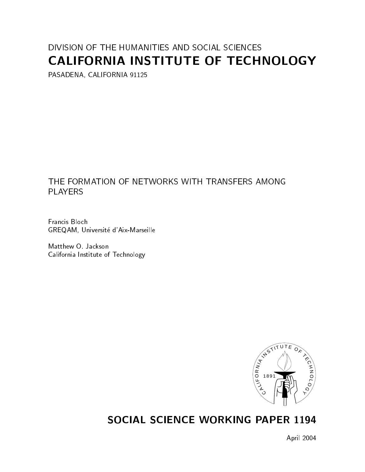# DIVISION OF THE HUMANITIES AND SOCIAL SCIENCES CALIFORNIA INSTITUTE OF TECHNOLOGY

PASADENA, CALIFORNIA 91125

## THE FORMATION OF NETWORKS WITH TRANSFERS AMONG **PLAYERS**

Francis Bloch GREQAM, Universite d'Aix-Marseille

Matthew O. Jackson California Institute of Technology



# SOCIAL SCIENCE WORKING PAPER 1194

April 2004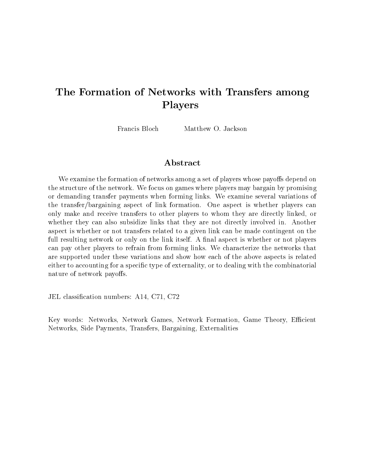# The Formation of Networks with Transfers among Players

Matthew O. Jackson Francis Bloch

We examine the formation of networks among a set of players whose payoffs depend on the structure of the network. We focus on games where players may bargain by promising or demanding transfer payments when forming links. We examine several variations of the transfer/bargaining aspect of link formation. One aspect is whether players can only make and receive transfers to other players to whom theyare directly linked, or whether they can also subsidize links that they are not directly involved in. Another aspect is whether or not transfers related to a given link can be made contingent on the full resulting network or only on the link itself. A final aspect is whether or not players can pay other players to refrain from forming links. We characterize the networks that are supported under these variations and show how each of the above aspects is related either to accounting for a specific type of externality, or to dealing with the combinatorial nature of network payoffs.

JEL classication numbers: A14, C71, C72

Key words: Networks, Network Games, Network Formation, Game Theory, Efficient Networks, Side Payments, Transfers, Bargaining, Externalities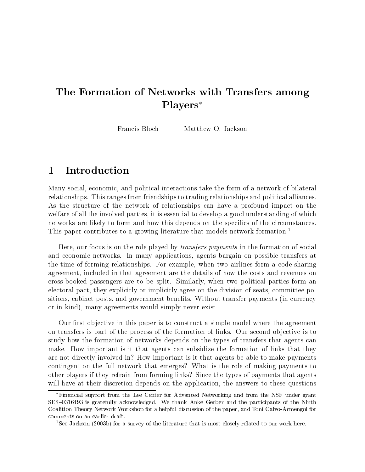# The Formation of Networks with Transfers among Players

Francis Bloch Matthew O. Jackson

### **Introduction**  $\mathbf 1$

Many social, economic, and political interactions take the form of a network of bilateral relationships. This ranges from friendships to trading relationships and political alliances. As the structure of the network of relationships can have a profound impact on the welfare of all the involved parties, it is essential to develop a good understanding of which networks are likely to form and how this depends on the specifics of the circumstances. This paper contributes to a growing literature that models network formation.<sup>1</sup>

Here, our focus is on the role played by transfers payments in the formation of social and economic networks. In many applications, agents bargain on possible transfers at the time of forming relationships. For example, when two airlines form a code-sharing agreement, included in that agreement are the details of how the costs and revenues on cross-booked passengers are to be split. Similarly, when two political parties form an electoral pact, they explicitly or implicitly agree on the division of seats, committee positions, cabinet posts, and government benefits. Without transfer payments (in currency or in kind), many agreements would simply never exist.

Our first objective in this paper is to construct a simple model where the agreement on transfers is part of the process of the formation of links. Our second objective is to study how the formation of networks depends on the types of transfers that agents can make. How important is it that agents can subsidize the formation of links that they are not directly involved in? How important is it that agents be able to make payments contingent on the full network that emerges? What is the role of making payments to other players if they refrain from forming links? Since the types of payments that agents will have at their discretion depends on the application, the answers to these questions

Financial support from the Lee Center for Advanced Networking and from the NSF under grant SES-0316493 is gratefully acknowledged. We thank Anke Gerber and the participants of the Ninth Coalition Theory Network Workshop for a helpful discussion of the paper, and Toni Calvo-Armengol for comments on an earlier draft.

<sup>1</sup>See Jackson (2003b) for a survey of the literature that is most closely related to our work here.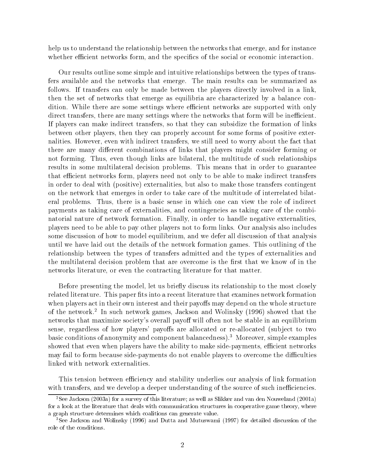help us to understand the relationship between the networks that emerge, and for instance whether efficient networks form, and the specifics of the social or economic interaction.

Our results outline some simple and intuitive relationships between the types of transfers available and the networks that emerge. The main results can be summarized as follows. If transfers can only be made between the players directly involved in a link, then the set of networks that emerge as equilibria are characterized by a balance condition. While there are some settings where efficient networks are supported with only direct transfers, there are many settings where the networks that form will be inefficient. If players can make indirect transfers, so that they can subsidize the formation of links between other players, then they can properly account for some forms of positive externalities. However, even with indirect transfers, we still need to worry about the fact that there are many different combinations of links that players might consider forming or not forming. Thus, even though links are bilateral, the multitude of such relationships results in some multilateral decision problems. This means that in order to guarantee that efficient networks form, players need not only to be able to make indirect transfers in order to deal with (positive) externalities, but also to make those transfers contingent on the network that emerges in order to take care of the multitude of interrelated bilateral problems. Thus, there is a basic sense in which one can view the role of indirect payments as taking care of externalities, and contingencies as taking care of the combinatorial nature of network formation. Finally, in order to handle negative externalities, players need to be able to pay other players not to form links. Our analysis also includes some discussion of how to model equilibrium, and we defer all discussion of that analysis until we have laid out the details of the network formation games. This outlining of the relationship between the types of transfers admitted and the types of externalities and the multilateral decision problem that are overcome is the first that we know of in the networks literature, or even the contracting literature for that matter.

Before presenting the model, let us briefly discuss its relationship to the most closely related literature. This paper fits into a recent literature that examines network formation when players act in their own interest and their payoffs may depend on the whole structure of the network. Thi such network games, Jackson and Wolffisky (1990) showed that the networks that maximize society's overall payoff will often not be stable in an equilibrium sense, regardless of how players' payoffs are allocated or re-allocated (subject to two basic conditions of anonymity and component balancedness).3 Moreover, simple examples showed that even when players have the ability to make side-payments, efficient networks may fail to form because side-payments do not enable players to overcome the difficulties linked with network externalities.

This tension between efficiency and stability underlies our analysis of link formation with transfers, and we develop a deeper understanding of the source of such inefficiencies.

<sup>2</sup>See Jackson (2003a) for a survey of this literature; as well as Slikker and van den Nouweland (2001a) for a look at the literature that deals with communication structures in cooperative game theory, where a graph structure determines which coalitions can generate value.

<sup>3</sup>See Jackson and Wolinsky (1996) and Dutta and Mutuswami (1997) for detailed discussion of the role of the conditions.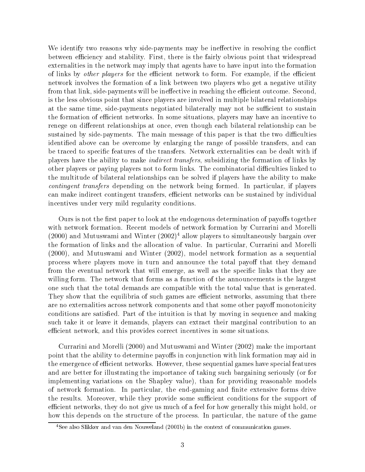We identify two reasons why side-payments may be ineffective in resolving the conflict between efficiency and stability. First, there is the fairly obvious point that widespread externalities in the network may imply that agents have to have input into the formation of links by *other players* for the efficient network to form. For example, if the efficient network involves the formation of a link between two players who get a negative utility from that link, side-payments will be ineffective in reaching the efficient outcome. Second, is the less obvious point that since players are involved in multiple bilateral relationships at the same time, side-payments negotiated bilaterally may not be sufficient to sustain the formation of efficient networks. In some situations, players may have an incentive to renege on different relationships at once, even though each bilateral relationship can be sustained by side-payments. The main message of this paper is that the two difficulties identied above can be overcome by enlarging the range of possible transfers, and can be traced to specific features of the transfers. Network externalities can be dealt with if players have the ability to make indirect transfers, subsidizing the formation of links by other players or paying players not to form links. The combinatorial difficulties linked to the multitude of bilateral relationships can be solved if players have the ability to make contingent transfers depending on the network being formed. In particular, if players can make indirect contingent transfers, efficient networks can be sustained by individual incentives under very mild regularity conditions.

Ours is not the first paper to look at the endogenous determination of payoffs together with network formation. Recent models of network formation by Currarini and Morelli  $(2000)$  and Mutuswami and Winter  $(2002)^4$  allow players to simultaneously bargain over the formation of links and the allocation of value. In particular, Currarini and Morelli (2000), and Mutuswami and Winter (2002), model network formation as a sequential process where players move in turn and announce the total payoff that they demand from the eventual network that will emerge, as well as the specic links that they are willing form. The network that forms as a function of the announcements is the largest one such that the total demands are compatible with the total value that is generated. They show that the equilibria of such games are efficient networks, assuming that there are no externalities across network components and that some other payoff monotonicity conditions are satisfied. Part of the intuition is that by moving in sequence and making such take it or leave it demands, players can extract their marginal contribution to an efficient network, and this provides correct incentives in some situations.

Currarini and Morelli (2000) and Mutuswami and Winter (2002) make the important point that the ability to determine payoffs in conjunction with link formation may aid in the emergence of efficient networks. However, these sequential games have special features and are better for illustrating the importance of taking such bargaining seriously (or for implementing variations on the Shapley value), than for providing reasonable models of network formation. In particular, the end-gaming and finite extensive forms drive the results. Moreover, while they provide some sufficient conditions for the support of efficient networks, they do not give us much of a feel for how generally this might hold, or how this depends on the structure of the process. In particular, the nature of the game

<sup>4</sup>See also Slikker and van den Nouweland (2001b) in the context of communication games.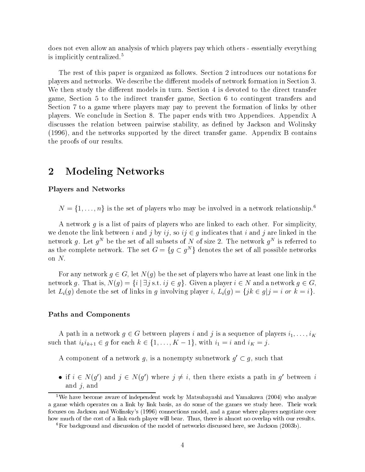does not even allow an analysis of which players pay which others - essentially everything is implicitly centralized.5

The rest of this paper is organized as follows. Section 2 introduces our notations for players and networks. We describe the dierent models of network formation in Section 3. We then study the different models in turn. Section 4 is devoted to the direct transfer game, Section 5 to the indirect transfer game, Section 6 to contingent transfers and Section 7 to a game where players may pay to prevent the formation of links by other players. We conclude in Section 8. The paper ends with two Appendices. Appendix A discusses the relation between pairwise stability, as defined by Jackson and Wolinsky (1996), and the networks supported by the direct transfer game. Appendix B contains the proofs of our results.

## 2 Modeling Networks

### Players and Networks

 $N = \{1, \ldots, n\}$  is the set of players who may be involved in a network relationship.<sup>6</sup>

A network  $q$  is a list of pairs of players who are linked to each other. For simplicity, we denote the link between i and j by ij, so  $ij \in g$  indicates that i and j are linked in the Hetwork q. Let  $q^{\perp}$  be the set of all subsets of *i*v of size 2. The network  $q^{\perp}$  is referred to as the complete network. The set  $G = \{q \subset q^m\}$  denotes the set of all possible networks on  $N$ .

For any network  $g \in G$ , let  $N(g)$  be the set of players who have at least one link in the network g. That is,  $N(g) = \{i \mid \exists j \text{ s.t. } ij \in g\}$ . Given a player  $i \in N$  and a network  $g \in G$ , let  $L_i(g)$  denote the set of links in g involving player i,  $L_i(g) = \{jk \in g | j = i \text{ or } k = i\}.$ 

### Paths and Components

A path in a network  $g \in G$  between players  $i$  and  $j$  is a sequence of players  $i_1,\ldots,i_K$ A path in a network  $g \in G$  between players *i* and *j* is a sequence of players  $i_1$ ,..<br>such that  $i_k i_{k+1} \in g$  for each  $k \in \{1, ..., K - 1\}$ , with  $i_1 = i$  and  $i_K = j$ .

A component of a network q, is a nonempty subnetwork  $q' \subset q$ , such that

• if  $i \in N(q')$  and  $j \in N(q')$  where  $j \neq i$ , then there exists a path in q' between i and  $j$ , and

<sup>&</sup>lt;sup>5</sup>We have become aware of independent work by Matsubayashi and Yamakawa (2004) who analyze a game which operates on a link by link basis, as do some of the games we study here. Their work focuses on Jackson and Wolinsky's (1996) connections model, and a game where players negotiate over how much of the cost of a link each player will bear. Thus, there is almost no overlap with our results.

<sup>6</sup>For background and discussion of the model of networks discussed here, see Jackson (2003b).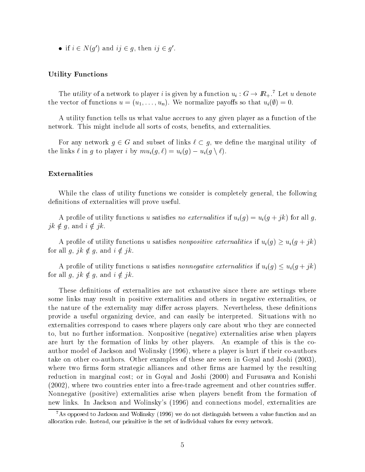• if  $i \in N(q')$  and  $ij \in q$ , then  $ij \in q'$ .

### Utility Functions

The utility of a network to player i is given by a function  $u_i : G \to \mathbb{R}_+$ .<sup>7</sup> Let u denote the vector of functions  $u = (u_1, \ldots, u_n)$ . We normalize payoffs so that  $u_i(\emptyset) = 0$ .

A utility function tells us what value accrues to any given player as a function of the network. This might include all sorts of costs, benefits, and externalities.

For any network  $g \in G$  and subset of links  $\ell \subset g$ , we define the marginal utility of the links  $\ell$  in g to player i by  $mu_i(g, \ell) = u_i(g) - u_i(g \setminus \ell).$ 

### Externalities

While the class of utility functions we consider is completely general, the following definitions of externalities will prove useful.

A profile of utility functions u satisfies no externalities if  $u_i(g) = u_i(g + jk)$  for all g,  $jk \notin g$ , and  $i \notin jk$ .<br>A profile of utility functions u satisfies nonpositive externalities if  $u_i(g) \ge u_i(g + jk)$ 

for all  $g, jk \notin g$ , and  $i \notin jk$ .<br>A profile of utility functions u satisfies nonnegative externalities if  $u_i(g) \le u_i(g + jk)$ 

for all  $g, jk \notin g$ , and  $i \notin jk$ .

These definitions of externalities are not exhaustive since there are settings where some links may result in positive externalities and others in negative externalities, or the nature of the externality may differ across players. Nevertheless, these definitions provide a useful organizing device, and can easily be interpreted. Situations with no externalities correspond to cases where players only care about who they are connected to, but no further information. Nonpositive (negative) externalities arise when players are hurt by the formation of links by other players. An example of this is the coauthor model of Jackson and Wolinsky (1996), where a player is hurt if their co-authors take on other co-authors. Other examples of these are seen in Goyal and Joshi (2003), where two firms form strategic alliances and other firms are harmed by the resulting reduction in marginal cost; or in Goyal and Joshi (2000) and Furusawa and Konishi  $(2002)$ , where two countries enter into a free-trade agreement and other countries suffer. Nonnegative (positive) externalities arise when players benet from the formation of new links. In Jackson and Wolinsky's (1996) and connections model, externalities are

<sup>&</sup>lt;sup>7</sup>As opposed to Jackson and Wolinsky (1996) we do not distinguish between a value function and an allocation rule. Instead, our primitive is the set of individual values for every network.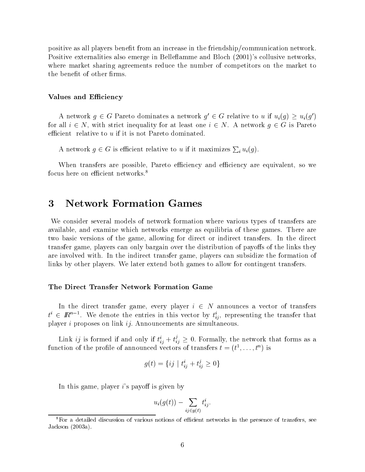positive as all players benet from an increase in the friendship/communication network. Positive externalities also emerge in Belleflamme and Bloch (2001)'s collusive networks. where market sharing agreements reduce the number of competitors on the market to the benefit of other firms.

### Values and Efficiency

A network  $g \in G$  Pareto dominates a network  $g' \in G$  relative to u if  $u_i(g) \geq u_i(g')$ for all  $i \in N$ , with strict inequality for at least one  $i \in N$ . A network  $q \in G$  is Pareto efficient relative to  $u$  if it is not Pareto dominated.

A network  $g \in G$  is efficient relative to u if it maximizes  $\sum_i u_i(g)$ .

When transfers are possible, Pareto efficiency and efficiency are equivalent, so we focus here on efficient networks.<sup>8</sup>

#### 3 3 Network Formation Games

We consider several models of network formation where various types of transfers are available, and examine which networks emerge as equilibria of these games. There are two basic versions of the game, allowing for direct or indirect transfers. In the direct transfer game, players can only bargain over the distribution of payoffs of the links they are involved with. In the indirect transfer game, players can subsidize the formation of links by other players. We later extend both games to allow for contingent transfers.

### The Direct Transfer Network Formation Game

In the direct transfer game, every player  $i \in N$  announces a vector of transfers  $t^i \in I\!\!R^{n-1}$ . We denote the entries in this vector by  $t^i_{ij}$ , representing the transfer that player i proposes on link ij: Announcements are simultaneous.

Link  $ij$  is formed if and only if  $t_{ij}^* + t_{ij}^* \geq 0$ . Formally, the network that forms as a function of the profile of announced vectors of transfers  $t = (t_1, \ldots, t_n)$  is

$$
g(t) = \{ij \mid t_{ij}^i + t_{ij}^j \ge 0\}
$$

In this game, player  $i$ 's payoff is given by

$$
u_i(g(t))-\sum_{ij\in g(t)}t_{ij}^i.
$$

<sup>&</sup>lt;sup>8</sup>For a detailed discussion of various notions of efficient networks in the presence of transfers, see Jackson (2003a).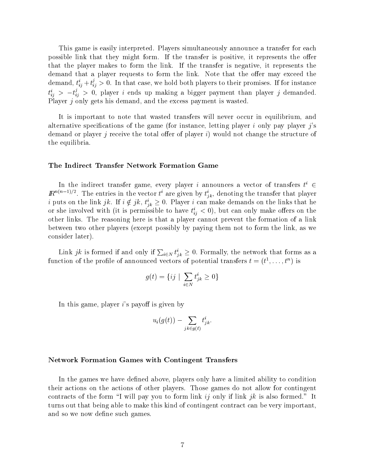This game is easily interpreted. Players simultaneously announce a transfer for each possible link that they might form. If the transfer is positive, it represents the offer that the player makes to form the link. If the transfer is negative, it represents the demand that a player requests to form the link. Note that the offer may exceed the demand,  $t_{ij}^*+t_{ij}^*\geq 0.$  In that case, we hold both players to their promises. If for instance  $t_{ij}^*$   $>$   $-t_{ij}^*$   $>$  0, player  $\imath$  ends up making a bigger payment than player  $\jmath$  demanded. Player j only gets his demand, and the excess payment is wasted.

It is important to note that wasted transfers will never occur in equilibrium, and alternative specifications of the game (for instance, letting player i only pay player  $i$ 's demand or player j receive the total offer of player i) would not change the structure of the equilibria.

### The Indirect Transfer Network Formation Game

In the indirect transfer game, every player  $i$  announces a vector of transfers  $t^* \in \mathbb{R}^2$  $\mathbb{R}^{n(n-1)/2}$ . The entries in the vector t<sup>'</sup> are given by  $t_{jk}^i$ , denoting the transfer that player *t* puts on the link  $j\kappa$ . If  $i \notin j\kappa$ ,  $t_{jk} \geq 0$ . Player *t* can make demands on the links that he or she involved with (it is permissible to have  $t_{ij} < 0$ ), but can only make oners on the other links. The reasoning here is that a player cannot prevent the formation of a link between two other players (except possibly by paying them not to form the link, as we consider later).

Link jk is formed if and only if  $\sum_{i\in N} t_{ik}^i \geq 0$ . Formally, the network that forms as a function of the profile of announced vectors of potential transfers  $t = (t^*, \ldots, t^*)$  is

$$
g(t) = \{ij \mid \sum_{i \in N} t_{jk}^i \ge 0\}
$$

In this game, player  $i$ 's payoff is given by

$$
u_i(g(t)) - \sum_{jk \in g(t)} t^i_{jk}.
$$

### Network Formation Games with Contingent Transfers

In the games we have defined above, players only have a limited ability to condition their actions on the actions of other players. Those games do not allow for contingent contracts of the form "I will pay you to form link  $i_j$  only if link jk is also formed." It turns out that being able to make this kind of contingent contract can be very important, and so we now define such games.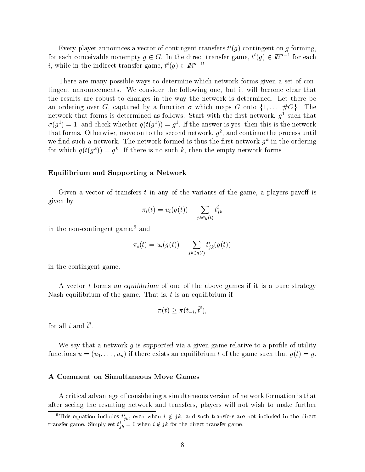Every player announces a vector of contingent transfers  $\iota'(q)$  contingent on  $q$  forming, for each conceivable nonempty  $q \in G$ . In the direct transfer game,  $t'(q) \in I\!\!R^{n-1}$  for each i, while in the indirect transfer game,  $t^{\ell}(q) \in I\!\!R^{n-1}$ 

There are many possible ways to determine which network forms given a set of contingent announcements. We consider the following one, but it will become clear that the results are robust to changes in the way the network is determined. Let there be an ordering over G, captured by a function  $\sigma$  which maps G onto  $\{1,\ldots,\#G\}$ . The  ${\rm neworr}$  that forms is determined as follows. Start with the first network,  $q$  -such that  $\varrho(q^*) = 1$ , and check whether  $q(\iota(q^*)) = q^*$ . If the answer is yes, then this is the network that forms. Otherwise, move on to the second network,  $q$  , and continue the process until we find such a network. The network formed is thus the first network  $q^\mu$  in the ordering for which  $q(t|q|) = q$ . If there is no such  $\kappa$ , then the empty network forms.

### Equilibrium and Supporting a Network

Given a vector of transfers t in any of the variants of the game, a players payoff is given by

$$
\pi_i(t) = u_i(g(t)) - \sum_{jk \in g(t)} t^i_{jk}
$$

in the non-contingent game,<sup>9</sup> and

$$
\pi_i(t) = u_i(g(t)) - \sum_{jk \in g(t)} t^i_{jk}(g(t))
$$

in the contingent game.

A vector t forms an equilibrium of one of the above games if it is a pure strategy Nash equilibrium of the game. That is,  $t$  is an equilibrium if

$$
\pi(t) \geq \pi(t_{-i}, \tilde{t}^i),
$$

for all  $i$  and  $i$ .

We say that a network  $g$  is supported via a given game relative to a profile of utility functions  $u = (u_1, \ldots, u_n)$  if there exists an equilibrium t of the game such that  $g(t) = g$ .

### A Comment on Simultaneous Move Games

A critical advantage of considering a simultaneous version of network formation is that after seeing the resulting network and transfers, players will not wish to make further

This equation includes  $t_{ik}$ , even when  $i \notin jk$ , and such transfers are not included in the direct transfer game. Simply set  $t_{ik} = 0$  when  $i \notin jk$  for the direct transfer game.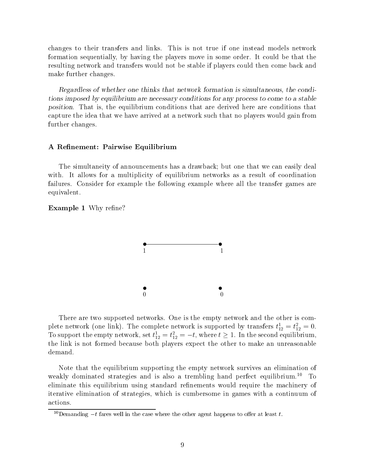changes to their transfers and links. This is not true if one instead models network formation sequentially, by having the players move in some order. It could be that the resulting network and transfers would not be stable if players could then come back and make further changes.

Regardless of whether one thinks that network formation is simultaneous, the conditions imposed by equilibrium are necessary conditions for any process to come to a stable position. That is, the equilibrium conditions that are derived here are conditions that capture the idea that we have arrived at a network such that no players would gain from further changes.

### A Renement: Pairwise Equilibrium

The simultaneity of announcements has a drawback; but one that we can easily deal with. It allows for a multiplicity of equilibrium networks as a result of coordination failures. Consider for example the following example where all the transfer games are equivalent.

### **Example 1** Why refine?



There are two supported networks. One is the empty network and the other is complete network (one link). The complete network is supported by transfers  $t_{12}^* = t_{12}^* = 0$ . To support the empty network, set  $t_{12} = t_{12} = -t$ , where  $t \ge 1$ . In the second equilibrium, the link is not formed because both players expect the other to make an unreasonable demand.

Note that the equilibrium supporting the empty network survives an elimination of weakly dominated strategies and is also a trembling hand perfect equilibrium.<sup>10</sup> To eliminate this equilibrium using standard refinements would require the machinery of iterative elimination of strategies, which is cumbersome in games with a continuum of actions.

<sup>&</sup>lt;sup>10</sup>Demanding  $-t$  fares well in the case where the other agent happens to offer at least t.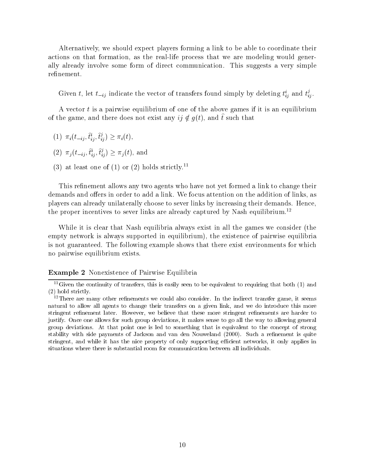Alternatively, we should expect players forming a link to be able to coordinate their actions on that formation, as the real-life process that we are modeling would generally already involve some form of direct communication. This suggests a very simple refinement.

Given t, let  $t_{-ij}$  indicate the vector of transfers found simply by deleting  $t_{ij}^*$  and  $t_{ij}^*$ .

A vector t is a pairwise equilibrium of one of the above games if it is an equilibrium of the game, and there does not exist any  $i\gamma \notin q(\iota)$ , and  $\iota$  such that

- $(1)$   $\pi_i(t_{-ij}, t_{ij}^*, t_{ij}^*) \geq \pi_i(t),$
- $(2)$   $\pi_j(t_{-ij}, t_{ij}, t_{ij}) \geq \pi_j(t)$ , and
- (3) at least one of (1) or (2) holds strictly.<sup>11</sup>

This refinement allows any two agents who have not yet formed a link to change their demands and offers in order to add a link. We focus attention on the addition of links, as players can already unilaterally choose to sever links by increasing their demands. Hence, the proper incentives to sever links are already captured by Nash equilibrium.<sup>12</sup>

While it is clear that Nash equilibria always exist in all the games we consider (the empty network is always supported in equilibrium), the existence of pairwise equilibria is not guaranteed. The following example shows that there exist environments for which no pairwise equilibrium exists.

### Example 2 Nonexistence of Pairwise Equilibria

 $11$ Given the continuity of transfers, this is easily seen to be equivalent to requiring that both (1) and (2) hold strictly.

 $^{12}$ There are many other refinements we could also consider. In the indirect transfer game, it seems natural to allow all agents to change their transfers on a given link, and we do introduce this more stringent refinement later. However, we believe that these more stringent refinements are harder to justify. Once one allows for such group deviations, it makes sense to go all the way to allowing general group deviations. At that point one is led to something that is equivalent to the concept of strong stability with side payments of Jackson and van den Nouweland (2000). Such a renement is quite stringent, and while it has the nice property of only supporting efficient networks, it only applies in situations where there is substantial room for communication between all individuals.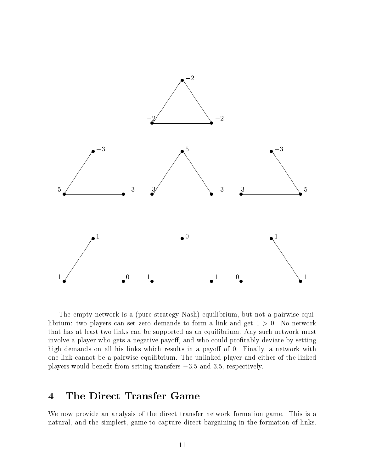

The empty network is a (pure strategy Nash) equilibrium, but not a pairwise equilibrium: two players can set zero demands to form a link and get  $1 > 0$ . No network that has at least two links can be supported as an equilibrium. Any such network must involve a player who gets a negative payoff, and who could profitably deviate by setting high demands on all his links which results in a payoff of 0. Finally, a network with one link cannot be a pairwise equilibrium. The unlinked player and either of the linked players would benefit from setting transfers  $-3.5$  and 3.5, respectively.

## 4 The Direct Transfer Game

We now provide an analysis of the direct transfer network formation game. This is a natural, and the simplest, game to capture direct bargaining in the formation of links.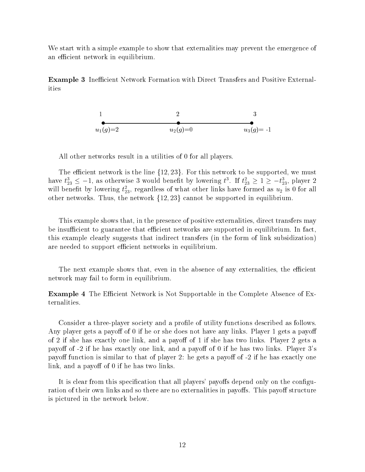We start with a simple example to show that externalities may prevent the emergence of an efficient network in equilibrium.

**Example 3** Inefficient Network Formation with Direct Transfers and Positive Externalities

1  
2  
3  

$$
u_1(g)=2
$$
  
3  
0  
 $u_2(g)=0$   
3  
0  
0  
0  
0  
0  
-1

All other networks result in a utilities of 0 for all players.

The efficient network is the line  $\{12, 23\}$ . For this network to be supported, we must have  $t_{23} \leq -1$ , as otherwise 3 would benefit by lowering  $t^*$ . If  $t_{23} \geq 1 \geq -t_{23}$ , player 2 will benefit by lowering  $t_{23}$ , regardless of what other links have formed as  $u_2$  is 0 for all other networks. Thus, the network  $\{12, 23\}$  cannot be supported in equilibrium.

This example shows that, in the presence of positive externalities, direct transfers may be insufficient to guarantee that efficient networks are supported in equilibrium. In fact, this example clearly suggests that indirect transfers (in the form of link subsidization) are needed to support efficient networks in equilibrium.

The next example shows that, even in the absence of any externalities, the efficient network may fail to form in equilibrium.

**Example 4** The Efficient Network is Not Supportable in the Complete Absence of Externalities.

Consider a three-player society and a prole of utility functions described as follows. Any player gets a payoff of 0 if he or she does not have any links. Player 1 gets a payoff of 2 if she has exactly one link, and a payoff of 1 if she has two links. Player 2 gets a payoff of  $-2$  if he has exactly one link, and a payoff of 0 if he has two links. Player  $3$ 's payoff function is similar to that of player 2: he gets a payoff of -2 if he has exactly one link, and a payoff of  $0$  if he has two links.

It is clear from this specification that all players' payoffs depend only on the configuration of their own links and so there are no externalities in payoffs. This payoff structure is pictured in the network below.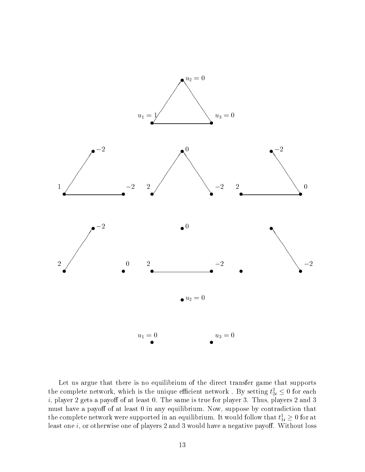

Let us argue that there is no equilibrium of the direct transfer game that supports the complete network, which is the unique efficient network . By setting  $t_{2i} \leq 0$  for each  $i$ , player 2 gets a payoff of at least 0. The same is true for player 3. Thus, players 2 and 3 must have a payoff of at least 0 in any equilibrium. Now, suppose by contradiction that the complete network were supported in an equilibrium. It would follow that  $\iota_{1i}^*\geq$  0 for at least one  $i$ , or otherwise one of players 2 and 3 would have a negative payoff. Without loss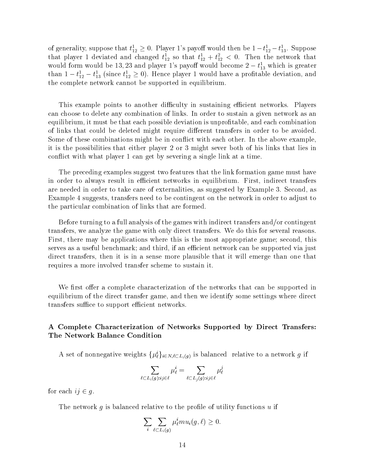of generality, suppose that  $t_{12}^1 \geq 0$ . Player 1's payoff would then be  $1-t_{12}^1-t_{13}^1$ . Suppose that player I deviated and changed  $t_{12}$  so that  $t_{12} + t_{12} < 0$ . Then the network that would form would be 13, 23 and player 1's payoff would become  $2 - t_{13}^1$  which is greater than  $1 - t_{12} - t_{13}$  (since  $t_{12} \geq 0$ ). Hence player 1 would have a profitable deviation, and the complete network cannot be supported in equilibrium.

This example points to another difficulty in sustaining efficient networks. Players can choose to delete any combination of links. In order to sustain a given network as an equilibrium, it must be that each possible deviation is unprotable, and each combination of links that could be deleted might require different transfers in order to be avoided. Some of these combinations might be in conflict with each other. In the above example, it is the possibilities that either player 2 or 3 might sever both of his links that lies in con
ict with what player 1 can get by severing a single link at a time.

The preceding examples suggest two features that the link formation game must have in order to always result in efficient networks in equilibrium. First, indirect transfers are needed in order to take care of externalities, as suggested by Example 3. Second, as Example 4 suggests, transfers need to be contingent on the network in order to adjust to the particular combination of links that are formed.

Before turning to a full analysis of the games with indirect transfers and/or contingent transfers, we analyze the game with only direct transfers. We do this for several reasons. First, there may be applications where this is the most appropriate game; second, this serves as a useful benchmark; and third, if an efficient network can be supported via just direct transfers, then it is in a sense more plausible that it will emerge than one that requires a more involved transfer scheme to sustain it.

We first offer a complete characterization of the networks that can be supported in equilibrium of the direct transfer game, and then we identify some settings where direct transfers suffice to support efficient networks.

## A Complete Characterization of Networks Supported by Direct Transfers: The Network Balance Condition

A set of nonnegative weights  $\{\mu_\ell\}_{i\in N,\ell\subset L_i(q)}$  is balanced frelative to a network g if

$$
\sum_{\ell\subset L_i(g):i j\in\ell}\mu^i_\ell=\sum_{\ell\subset L_j(g):i j\in\ell}\mu^j_\ell
$$

for each  $ij \in q$ .

The network q is balanced relative to the profile of utility functions  $u$  if

$$
\sum_i \sum_{\ell \subset L_i(g)} \mu_\ell^i m u_i(g,\ell) \geq 0.
$$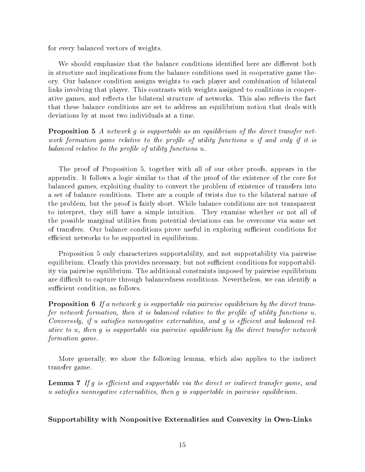for every balanced vectors of weights.

We should emphasize that the balance conditions identified here are different both in structure and implications from the balance conditions used in cooperative game theory. Our balance condition assigns weights to each player and combination of bilateral links involving that player. This contrasts with weights assigned to coalitions in cooperative games, and reflects the bilateral structure of networks. This also reflects the fact that these balance conditions are set to address an equilibrium notion that deals with deviations by at most two individuals at a time.

Proposition 5 A network g is supportable as an equilibrium of the direct transfer network formation game relative to the profile of utility functions u if and only if it is balanced relative to the profile of utility functions u.

The proof of Proposition 5, together with all of our other proofs, appears in the appendix. It follows a logic similar to that of the proof of the existence of the core for balanced games, exploiting duality to convert the problem of existence of transfers into a set of balance conditions. There are a couple of twists due to the bilateral nature of the problem, but the proof is fairly short. While balance conditions are not transparent to interpret, they still have a simple intuition. They examine whether or not all of the possible marginal utilities from potential deviations can be overcome via some set of transfers. Our balance conditions prove useful in exploring sufficient conditions for efficient networks to be supported in equilibrium.

Proposition 5 only characterizes supportability, and not supportability via pairwise equilibrium. Clearly this provides necessary, but not sufficient conditions for supportability via pairwise equilibrium. The additional constraints imposed by pairwise equilibrium are difficult to capture through balancedness conditions. Nevertheless, we can identify a sufficient condition, as follows.

**Proposition 6** If a network g is supportable via pairwise equilibrium by the direct transfer network formation, then it is balanced relative to the profile of utility functions  $u$ . Conversely, if  $u$  satisfies nonnegative externalities, and  $g$  is efficient and balanced relative to u, then g is supportable via pairwise equilibrium by the direct transfer network formation game.

More generally, we show the following lemma, which also applies to the indirect transfer game.

**Lemma 7** If g is efficient and supportable via the direct or indirect transfer game, and  $u$  satisfies nonnegative externalities, then  $g$  is supportable in pairwise equilibrium.

### Supportability with Nonpositive Externalities and Convexity in Own-Links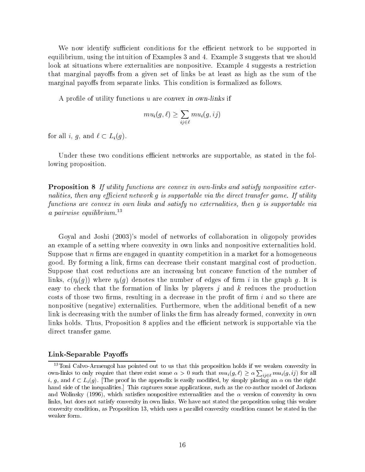We now identify sufficient conditions for the efficient network to be supported in equilibrium, using the intuition of Examples 3 and 4. Example 3 suggests that we should look at situations where externalities are nonpositive. Example 4 suggests a restriction that marginal payoffs from a given set of links be at least as high as the sum of the marginal payoffs from separate links. This condition is formalized as follows.

A profile of utility functions u are convex in own-links if

$$
mu_i(g,\ell) \geq \sum_{ij \in \ell} mu_i(g,ij)
$$

for all i, g, and  $\ell \subset L_i(g)$ .

Under these two conditions efficient networks are supportable, as stated in the following proposition.

Proposition 8 If utility functions are convex in own-links and satisfy nonpositive externalities, then any efficient network  $q$  is supportable via the direct transfer game. If utility functions are convex in own links and satisfy no externalities, then g is supportable via a pairwise equilibrium. $^{13}$ 

Goyal and Joshi (2003)'s model of networks of collaboration in oligopoly provides an example of a setting where convexity in own links and nonpositive externalities hold. Suppose that  $n$  firms are engaged in quantity competition in a market for a homogeneous good. By forming a link, firms can decrease their constant marginal cost of production. Suppose that cost reductions are an increasing but concave function of the number of links,  $c(\eta_i(g))$  where  $\eta_i(g)$  denotes the number of edges of firm i in the graph g. It is easy to check that the formation of links by players  $j$  and  $k$  reduces the production costs of those two firms, resulting in a decrease in the profit of firm  $i$  and so there are nonpositive (negative) externalities. Furthermore, when the additional benefit of a new link is decreasing with the number of links the firm has already formed, convexity in own links holds. Thus, Proposition 8 applies and the efficient network is supportable via the direct transfer game.

### Link-Separable Payoffs

<sup>&</sup>lt;sup>13</sup>Toni Calvo-Armengol has pointed out to us that this proposition holds if we weaken convexity in own-links to only require that there exist some  $\alpha > 0$  such that  $mu_i(g, \ell) \geq \alpha \sum_{i,j \in \ell} mu_i(g, ij)$  for all i, g, and  $\ell \subset L_i(g)$ . The proof in the appendix is easily modified, by simply placing an  $\alpha$  on the right hand side of the inequalities.] This captures some applications, such as the co-author model of Jackson and Wolinsky (1996), which satisfies nonpositive externalities and the  $\alpha$  version of convexity in own links, but does not satisfy convexity in own links. We have not stated the proposition using this weaker convexity condition, as Proposition 13, which uses a parallel convexity condition cannot be stated in the weaker form.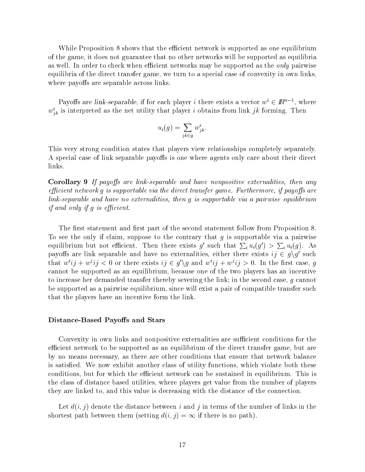While Proposition 8 shows that the efficient network is supported as one equilibrium of the game, it does not guarantee that no other networks will be supported as equilibria as well. In order to check when efficient networks may be supported as the *only* pairwise equilibria of the direct transfer game, we turn to a special case of convexity in own links, where payoffs are separable across links.

Payoffs are link-separable, if for each player *i* there exists a vector  $w \in \mathbb{R}^{n-1}$ , where  $w_{jk}$  is interpreted as the net utility that player  $i$  obtains from link  $j\kappa$  forming. Then

$$
u_i(g) = \sum_{jk \in g} w_{jk}^i.
$$

This very strong condition states that players view relationships completely separately. A special case of link separable payoffs is one where agents only care about their direct links.

**Corollary 9** If payoffs are link-separable and have nonpositive externalities, then any efficient network q is supportable via the direct transfer game. Furthermore, if payoffs are link-separable and have no externalities, then g is supportable via a pairwise equilibrium if and only if  $q$  is efficient.

The first statement and first part of the second statement follow from Proposition 8. To see the only if claim, suppose to the contrary that  $g$  is supportable via a pairwise equilibrium but not efficient. Then there exists g' such that  $\sum_i u_i(g') > \sum_i u_i(g)$ . As payoffs are link separable and have no externalities, either there exists  $ij \in q \backslash q'$  such that  $w^i i j + w^j i j < 0$  or there exists  $i j \in q' \setminus q$  and  $w^i i j + w^j i j > 0$ . In the first case, q cannot be supported as an equilibrium, because one of the two players has an incentive to increase her demanded transfer thereby severing the link; in the second case, g cannot be supported as a pairwise equilibrium, since will exist a pair of compatible transfer such that the players have an incentive form the link.

### Distance-Based Payoffs and Stars

Convexity in own links and nonpositive externalities are sufficient conditions for the efficient network to be supported as an equilibrium of the direct transfer game, but are by no means necessary, as there are other conditions that ensure that network balance is satisfied. We now exhibit another class of utility functions, which violate both these conditions, but for which the efficient network can be sustained in equilibrium. This is the class of distance based utilities, where players get value from the number of players they are linked to, and this value is decreasing with the distance of the connection.

Let  $d(i, j)$  denote the distance between i and j in terms of the number of links in the shortest path between them (setting  $d(i, j) = \infty$  if there is no path).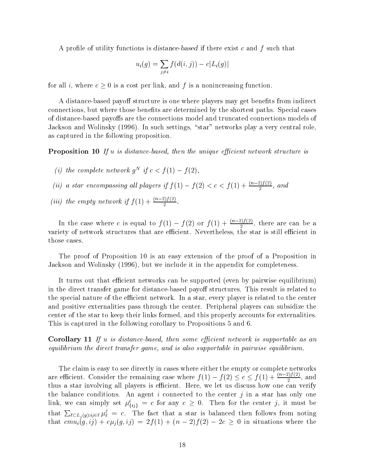A profile of utility functions is distance-based if there exist c and f such that

$$
u_i(g) = \sum_{j \neq i} f(d(i,j)) - c|L_i(g)|
$$

for all i, where  $c \geq 0$  is a cost per link, and f is a nonincreasing function.

A distance-based payoff structure is one where players may get benefits from indirect connections, but where those benefits are determined by the shortest paths. Special cases of distance-based payoffs are the connections model and truncated connections models of Jackson and Wolinsky (1996). In such settings, "star" networks play a very central role, as captured in the following proposition.

**Proposition 10** If u is distance-based, then the unique efficient network structure is

- If the complete network  $q^+$  if  $c \leq |I(1)| = |I(2)|$ ,
- (ii) a star encompassing all players if  $f(1) f(2) < c < f(1) + \frac{(n-2)f(2)}{2}$ , and
- (iii) the empty network if  $f(1) + \frac{(n-2)f(2)}{2}$ .

In the case where c is equal to  $f(1) - f(2)$  or  $f(1) + \frac{(n-2)f(2)}{2}$ , there are can be a variety of network structures that are ecient. Nevertheless, the star is still ecient in those cases.

The proof of Proposition 10 is an easy extension of the proof of a Proposition in Jackson and Wolinsky (1996), but we include it in the appendix for completeness.

It turns out that efficient networks can be supported (even by pairwise equilibrium) in the direct transfer game for distance-based payoff structures. This result is related to the special nature of the efficient network. In a star, every player is related to the center and positive externalities pass through the center. Peripheral players can subsidize the center of the star to keep their links formed, and this properly accounts for externalities. This is captured in the following corollary to Propositions 5 and 6.

**Corollary 11** If u is distance-based, then some efficient network is supportable as an equilibrium the direct transfer game, and is also supportable in pairwise equilibrium.

The claim is easy to see directly in cases where either the empty or complete networks are efficient. Consider the remaining case where  $f(1) - f(2) \le c \le f(1) + \frac{(n-2)f(2)}{2}$ , and thus a star involving all players is efficient. Here, we let us discuss how one can verify the balance conditions. An agent i connected to the center j in a star has only one link, we can simply set  $\mu_{\{ij\}} = c$  for any  $c \geq 0$ . Then for the center f, it must be that  $\sum_{\ell \in L_i(g): i_j \in \ell} \mu_{\ell}^j = c$ . The fact that a star is balanced then follows from noting that  $cmu_i(g, ij) + c\mu_i(g, ij) = 2f(1) + (n-2)f(2) - 2c \geq 0$  in situations where the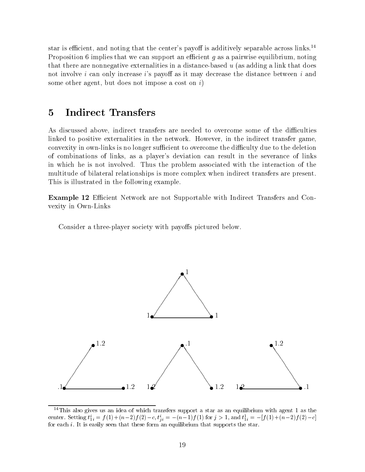star is efficient, and noting that the center's payoff is additively separable across links.<sup>14</sup> Proposition 6 implies that we can support an efficient  $q$  as a pairwise equilibrium, noting that there are nonnegative externalities in a distance-based  $u$  (as adding a link that does not involve i can only increase i's payoff as it may decrease the distance between i and some other agent, but does not impose a cost on  $i$ )

#### $\overline{5}$ 5 Indirect Transfers

As discussed above, indirect transfers are needed to overcome some of the difficulties linked to positive externalities in the network. However, in the indirect transfer game, convexity in own-links is no longer sufficient to overcome the difficulty due to the deletion of combinations of links, as a player's deviation can result in the severance of links in which he is not involved. Thus the problem associated with the interaction of the multitude of bilateral relationships is more complex when indirect transfers are present. This is illustrated in the following example.

**Example 12** Efficient Network are not Supportable with Indirect Transfers and Convexity in Own-Links

Consider a three-player society with payoffs pictured below.



<sup>&</sup>lt;sup>14</sup>This also gives us an idea of which transfers support a star as an equilibrium with agent 1 as the center. Setting  $t_{1i} = f(1) + (n-2)f(2) - c$ ,  $t_{ii} = -(n-1)f(1)$  for  $j > 1$ , and  $t_{1i} = -(f(1) + (n-2)f(2) - c)$ for each i. It is easily seen that these form an equilibrium that supports the star.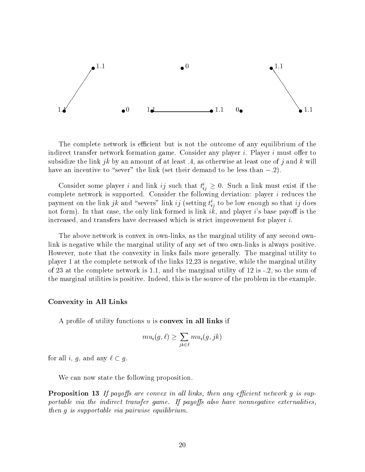

The complete network is efficient but is not the outcome of any equilibrium of the indirect transfer network formation game. Consider any player i. Player i must offer to subsidize the link jk by an amount of at least .4, as otherwise at least one of j and k will have an incentive to "sever" the link (set their demand to be less than  $-.2$ ).

Consider some player t and link to such that  $t_{ij} \geq 0$ . Such a link must exist if the complete network is supported. Consider the following deviation: player  $i$  reduces the payment on the link  $j\kappa$  and  $\,$  severs  $\,$  link  $ij$  (setting  $\iota_{ij}$  to be low enough so that  $ij$  does not form). In that case, the only link formed is link  $ik$ , and player is base payoff is the increased, and transfers have decreased which is strict improvement for player  $i$ .

The above network is convex in own-links, as the marginal utility of any second ownlink is negative while the marginal utility of any set of two own-links is always positive. However, note that the convexity in links fails more generally. The marginal utility to player 1 at the complete network of the links 12,23 is negative, while the marginal utility of 23 at the complete network is 1.1, and the marginal utility of 12 is  $-2$ , so the sum of the marginal utilities is positive. Indeed, this is the source of the problem in the example.

### Convexity in All Links

A profile of utility functions  $u$  is **convex in all links** if

$$
mu_i(g,\ell) \geq \sum_{jk \in \ell} mu_i(g,jk)
$$

for all *i*, *g*, and any  $\ell \subset g$ .

We can now state the following proposition.

**Proposition 13** If payoffs are convex in all links, then any efficient network g is supportable via the indirect transfer game. If payoffs also have nonnegative externalities, then g is supportable via pairwise equilibrium.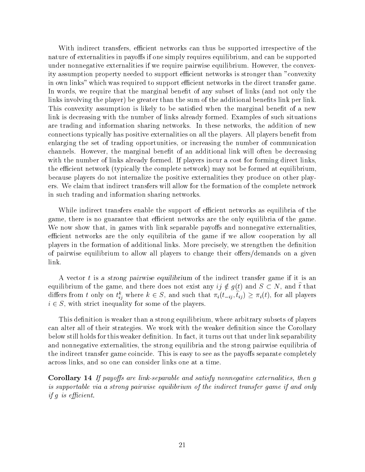With indirect transfers, efficient networks can thus be supported irrespective of the nature of externalities in payoffs if one simply requires equilibrium, and can be supported under nonnegative externalities if we require pairwise equilibrium. However, the convexity assumption property needed to support efficient networks is stronger than "convexity in own links" which was required to support efficient networks in the direct transfer game. In words, we require that the marginal benefit of any subset of links (and not only the links involving the player) be greater than the sum of the additional benefits link per link. This convexity assumption is likely to be satisfied when the marginal benefit of a new link is decreasing with the number of links already formed. Examples of such situations are trading and information sharing networks. In these networks, the addition of new connections typically has positive externalities on all the players. All players benet from enlarging the set of trading opportunities, or increasing the number of communication channels. However, the marginal benet of an additional link will often be decreasing with the number of links already formed. If players incur a cost for forming direct links, the efficient network (typically the complete network) may not be formed at equilibrium, because players do not internalize the positive externalities they produce on other players. We claim that indirect transfers will allow for the formation of the complete network in such trading and information sharing networks.

While indirect transfers enable the support of efficient networks as equilibria of the game, there is no guarantee that efficient networks are the only equilibria of the game. We now show that, in games with link separable payoffs and nonnegative externalities, efficient networks are the only equilibria of the game if we allow cooperation by all players in the formation of additional links. More precisely, we strengthen the denition of pairwise equilibrium to allow all players to change their offers/demands on a given link.

A vector t is a strong pairwise equilibrium of the indirect transfer game if it is an equilibrium of the game, and there does not exist any  $\eta \notin \eta(t)$  and  $S \subset N$ , and  $t$  that differs from t only on  $t_{ij}^*$  where  $\kappa \in S$ , and such that  $\pi_i(t_{-ij}, t_{ij}) \geq \pi_i(t)$ , for all players  $i \in S$ , with strict inequality for some of the players.

This definition is weaker than a strong equilibrium, where arbitrary subsets of players can alter all of their strategies. We work with the weaker definition since the Corollary below still holds for this weaker definition. In fact, it turns out that under link separability and nonnegative externalities, the strong equilibria and the strong pairwise equilibria of the indirect transfer game coincide. This is easy to see as the payoffs separate completely across links, and so one can consider links one at a time.

Corollary 14 If payoffs are link-separable and satisfy nonnegative externalities, then  $g$ is supportable via a strong pairwise equilibrium of the indirect transfer game if and only if  $g$  is efficient.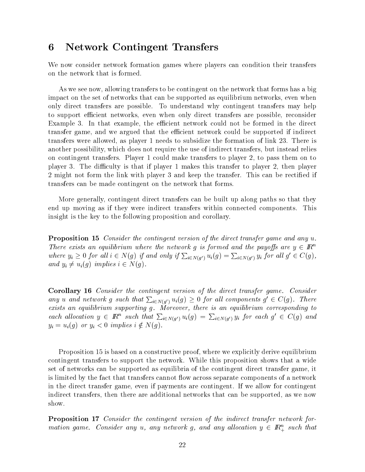## 6 Network Contingent Transfers

We now consider network formation games where players can condition their transfers on the network that is formed.

As we see now, allowing transfers to be contingent on the network that forms has a big impact on the set of networks that can be supported as equilibrium networks, even when only direct transfers are possible. To understand why contingent transfers may help to support efficient networks, even when only direct transfers are possible, reconsider Example 3. In that example, the efficient network could not be formed in the direct transfer game, and we argued that the efficient network could be supported if indirect transfers were allowed, as player 1 needs to subsidize the formation of link 23. There is another possibility, which does not require the use of indirect transfers, but instead relies on contingent transfers. Player 1 could make transfers to player 2, to pass them on to player 3. The difficulty is that if player 1 makes this transfer to player 2, then player 2 might not form the link with player 3 and keep the transfer. This can be rectied if transfers can be made contingent on the network that forms.

More generally, contingent direct transfers can be built up along paths so that they end up moving as if they were indirect transfers within connected components. This insight is the key to the following proposition and corollary.

**Proposition 15** Consider the contingent version of the direct transfer game and any u.<br>There exists an equilibrium where the network g is formed and the payoffs are  $y \in \mathbb{R}^n$ where  $y_i \geq 0$  for all  $i \in N(g)$  if and only if  $\sum_{i \in N(g')} u_i(g) = \sum_{i \in N(g')} y_i$  for all  $g' \in C(g)$ and  $y_i \neq u_i(g)$  implies  $i \in N(g)$ .

Corollary 16 Consider the contingent version of the direct transfer game. Consider any u and network g such that  $\sum_{i\in N(q')} u_i(g) \geq 0$  for all components  $g' \in C(g)$ . There exists an equilibrium supporting g. Moreover, there is an equilibrium corresponding to each allocation  $y \in \mathbb{R}^n$  such that  $\sum_{i \in N(q')} u_i(g) = \sum_{i \in N(q')} y_i$  for each  $g' \in C(g)$  and  $y_i = u_i(g)$  or  $y_i < 0$  implies  $i \notin N(g)$ .

Proposition 15 is based on a constructive proof, where we explicitly derive equilibrium contingent transfers to support the network. While this proposition shows that a wide set of networks can be supported as equilibria of the contingent direct transfer game, it is limited by the fact that transfers cannot flow across separate components of a network in the direct transfer game, even if payments are contingent. If we allow for contingent indirect transfers, then there are additional networks that can be supported, as we now show.

Proposition 17 Consider the contingent version of the indirect transfer network formation game. Consider any u, any network g, and any allocation  $y \in \mathbb{R}_+^n$  such that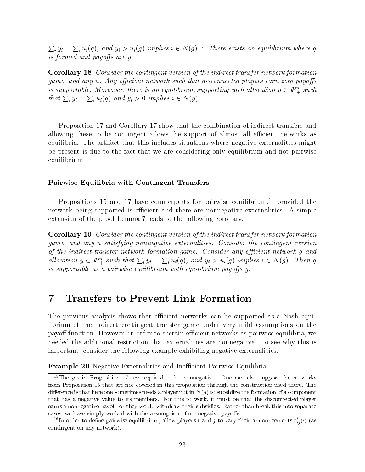$\sum_i y_i = \sum_i u_i(g)$ , and  $y_i > u_i(g)$  implies  $i \in N(g)$ .<sup>15</sup> There exists an equilibrium where g is formed and payoffs are y.

Corollary 18 Consider the contingent version of the indirect transfer network formation game, and any  $u$ . Any efficient network such that disconnected players earn zero payoffs is supportable. Moreover, there is an equilibrium supporting each allocation  $y \in \mathbb{R}^n_+$  such that  $\sum_i y_i = \sum_i u_i(g)$  and  $y_i > 0$  implies  $i \in N(g)$ .

Proposition 17 and Corollary 17 show that the combination of indirect transfers and allowing these to be contingent allows the support of almost all efficient networks as equilibria. The artifact that this includes situations where negative externalities might be present is due to the fact that we are considering only equilibrium and not pairwise equilibrium.

### Pairwise Equilibria with Contingent Transfers

Propositions 15 and 17 have counterparts for pairwise equilibrium,<sup>16</sup> provided the network being supported is efficient and there are nonnegative externalities. A simple extension of the proof Lemma 7 leads to the following corollary.

Corollary 19 Consider the contingent version of the indirect transfer network formation game, and any u satisfying nonnegative externalities. Consider the contingent version of the indirect transfer network formation game. Consider any efficient network g and allocation  $y \in \mathbb{R}_+^n$  such that  $\sum_i y_i = \sum_i u_i(g)$ , and  $y_i > u_i(g)$  implies  $i \in N(g)$ . Then g is supportable as a pairwise equilibrium with equilibrium payoffs  $y$ .

#### 7 7 Transfers to Prevent Link Formation

The previous analysis shows that efficient networks can be supported as a Nash equilibrium of the indirect contingent transfer game under very mild assumptions on the payoff function. However, in order to sustain efficient networks as pairwise equilibria, we needed the additional restriction that externalities are nonnegative. To see why this is important, consider the following example exhibiting negative externalities.

**Example 20** Negative Externalities and Inefficient Pairwise Equilibria

<sup>&</sup>lt;sup>15</sup>The y's in Proposition 17 are required to be nonnegative. One can also support the networks from Proposition 15 that are not covered in this proposition through the construction used there. The difference is that here one sometimes needs a player not in  $N(g)$  to subsidize the formation of a component that has a negative value to its members. For this to work, it must be that the disconnected player earns a nonnegative payoff, or they would withdraw their subsidies. Rather than break this into separate cases, we have simply worked with the assumption of nonnegative payoffs.

The order to define pairwise equilibrium, allow players t and f to vary their announcements  $t_{ij}(\cdot)$  (as contingent on any network).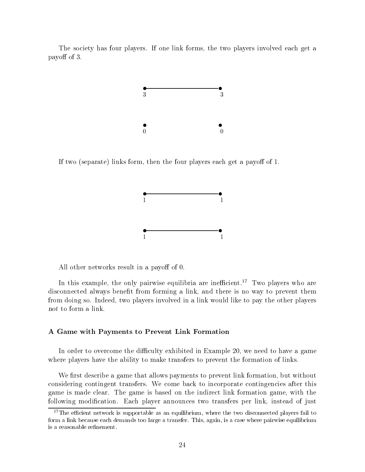The society has four players. If one link forms, the two players involved each get a payoff of 3.



If two (separate) links form, then the four players each get a payoff of 1.



All other networks result in a payoff of 0.

In this example, the only pairwise equilibria are inefficient.<sup>17</sup> Two players who are disconnected always benefit from forming a link, and there is no way to prevent them from doing so. Indeed, two players involved in a link would like to pay the other players not to form a link.

### A Game with Payments to Prevent Link Formation

In order to overcome the difficulty exhibited in Example 20, we need to have a game where players have the ability to make transfers to prevent the formation of links.

We first describe a game that allows payments to prevent link formation, but without considering contingent transfers. We come back to incorporate contingencies after this game is made clear. The game is based on the indirect link formation game, with the following modification. Each player announces two transfers per link, instead of just

 $17$ The efficient network is supportable as an equilibrium, where the two disconnected players fail to form a link because each demands too large a transfer. This, again, is a case where pairwise equilibrium is a reasonable refinement.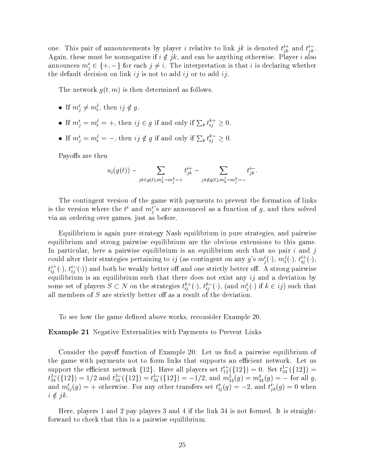one. This pair of announcements by player i relative to link jk is denoted  $t_{ik}^+$  and  $t_{ik}^+$ . Again, these must be nonnegative if  $i \notin \{k\}$ , and can be anything otherwise. Player  $i$  also announces  $m_i^i \in \{+, -\}$  for each  $j \neq i$ . The interpretation is that i is declaring whether ir of announcements by player *i* relative to link  $jk$  is denoted  $t_{jk}^{i+}$  and  $t_{jk}^{i-}$ .<br>must be nonnegative if  $i \notin jk$ , and can be anything otherwise. Player *i* also<br> $i \in \{+, -\}$  for each  $j \neq i$ . The interpretation the default decision on link  $ij$  is not to add  $ij$  or to add  $ij$ .

The network  $g(t, m)$  is then determined as follows.

- $\bullet$  If  $m^{\circ}_i \neq m^{\circ}_i$ , then  $ij \notin g$ .
- If  $m_i^i = m_i^j = +$ , then  $ij \in g$  if and only if  $\sum_k t_{ij}^{\kappa +} \geq 0$ .
- If  $m_i^i = m_i^j = -$ , then  $ij \notin g$  if and only if  $\sum_k t_{ij}^{\kappa -} \geq 0$ .

Payoffs are then

$$
u_i(g(t)) - \sum_{jk \in g(t), m_k^j = m_j^k = +} t_{jk}^{i+} - \sum_{jk \notin g(t), m_k^j = m_j^k = -} t_{jk}^{i-}.
$$

The contingent version of the game with payments to prevent the formation of links is the version where the  $t^i$  and  $m^i_j$ 's are announced as a function of g, and then solved via an ordering over games, just as before.

Equilibrium is again pure strategy Nash equilibrium in pure strategies, and pairwise equilibrium and strong pairwise equilibrium are the obvious extensions to this game. In particular, here a pairwise equilibrium is an equilibrium such that no pair  $i$  and j could alter their strategies pertaining to  $ij$  (as contingent on any g's  $m_i^i(\cdot), m_i^j(\cdot), t_{ij}^{i+}(\cdot),$  $t_{ij}^{(1)}(\cdot), t_{ij}^{(2)}(\cdot))$  and both be weakly better off and one strictly better off. A strong pairwise equilibrium is an equilibrium such that there does not exist any  $ij$  and a deviation by some set of players  $S \subset N$  on the strategies  $t_{i,j}^{k+1}(\cdot), t_{i,j}^{k-1}(\cdot),$  (and  $m_i^l(\cdot)$  if  $k \in ij$ ) such that all members of  $S$  are strictly better off as a result of the deviation.

To see how the game defined above works, reconsider Example 20.

### Example 21 Negative Externalities with Payments to Prevent Links

Consider the payoff function of Example 20. Let us find a pairwise equilibrium of the game with payments not to form links that supports an efficient network. Let us support the efficient network  $\{12\}$ . Have all players set  $t_{12}^{+1}(\{12\})=0$ . Set  $t_{34}^{+1}(\{12\})=0$  $t_{34}^{2-1}(\{12\})=1/2$  and  $t_{34}^{2-1}(\{12\})=t_{34}^{+1}(\{12\})=-1/2$ , and  $m_{34}^{3}(g)=m_{34}^{3}(g)=-$  for all g, and  $m_{ij}^*(g) = +$  otherwise. For any other transfers set  $t_{ij}^*(g) = -2$ , and  $t_{ik}^*(g) = 0$  when  $i \notin jk$ .<br>Here, players 1 and 2 pay players 3 and 4 if the link 34 is not formed. It is straight-

forward to check that this is a pairwise equilibrium.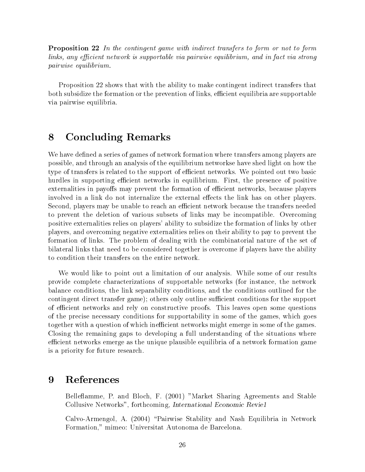Proposition 22 In the contingent game with indirect transfers to form or not to form links, any efficient network is supportable via pairwise equilibrium, and in fact via strong pairwise equilibrium.

Proposition 22 shows that with the ability to make contingent indirect transfers that both subsidize the formation or the prevention of links, efficient equilibria are supportable via pairwise equilibria.

#### **Concluding Remarks** 8

We have defined a series of games of network formation where transfers among players are possible, and through an analysis of the equilibrium networkse have shed light on how the type of transfers is related to the support of efficient networks. We pointed out two basic hurdles in supporting efficient networks in equilibrium. First, the presence of positive externalities in payoffs may prevent the formation of efficient networks, because players involved in a link do not internalize the external effects the link has on other players. Second, players may be unable to reach an efficient network because the transfers needed to prevent the deletion of various subsets of links may be incompatible. Overcoming positive externalities relies on players' ability to subsidize the formation of links by other players, and overcoming negative externalities relies on their ability to pay to prevent the formation of links. The problem of dealing with the combinatorial nature of the set of bilateral links that need to be considered together is overcome if players have the ability to condition their transfers on the entire network.

We would like to point out a limitation of our analysis. While some of our results provide complete characterizations of supportable networks (for instance, the network balance conditions, the link separability conditions, and the conditions outlined for the contingent direct transfer game); others only outline sufficient conditions for the support of efficient networks and rely on constructive proofs. This leaves open some questions of the precise necessary conditions for supportability in some of the games, which goes together with a question of which inefficient networks might emerge in some of the games. Closing the remaining gaps to developing a full understanding of the situations where efficient networks emerge as the unique plausible equilibria of a network formation game is a priority for future research.

#### **References** 9

Belleflamme, P. and Bloch, F. (2001) "Market Sharing Agreements and Stable Collusive Networks", forthcoming, International Economic Revie1

Calvo-Armengol, A. (2004) \Pairwise Stability and Nash Equilibria in Network Formation," mimeo: Universitat Autonoma de Barcelona.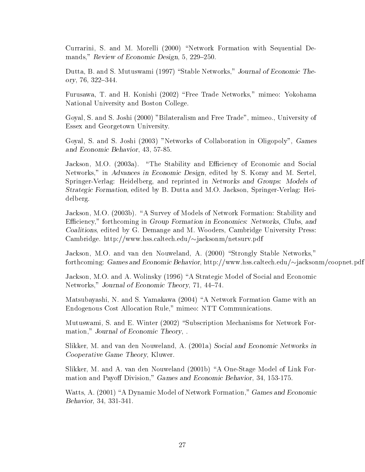Currarini, S. and M. Morelli (2000) "Network Formation with Sequential Demands," Review of Economic Design,  $5, 229-250$ .

Dutta, B. and S. Mutuswami (1997) "Stable Networks," Journal of Economic Theory, 76, 322-344.

Furusawa, T. and H. Konishi (2002) "Free Trade Networks," mimeo: Yokohama National University and Boston College.

Goyal, S. and S. Joshi (2000) "Bilateralism and Free Trade", mimeo., University of Essex and Georgetown University.

Goyal, S. and S. Joshi (2003) "Networks of Collaboration in Oligopoly", Games and Economic Behavior, 43, 57-85.

Jackson, M.O. (2003a). "The Stability and Efficiency of Economic and Social Networks," in Advances in Economic Design, edited by S. Koray and M. Sertel, Springer-Verlag: Heidelberg, and reprinted in Networks and Groups: Models of Strategic Formation, edited by B. Dutta and M.O. Jackson, Springer-Verlag: Heidelberg.

Jackson, M.O. (2003b). "A Survey of Models of Network Formation: Stability and Efficiency," forthcoming in Group Formation in Economics: Networks, Clubs, and Coalitions, edited by G. Demange and M. Wooders, Cambridge University Press: Cambridge. http://www.hss.caltech.edu/~jacksonm/netsurv.pdf

Jackson, M.O. and van den Nouweland, A. (2000) "Strongly Stable Networks," forthcoming: Games and Economic Behavior, http://www.hss.caltech.edu/ $\sim$ jacksonm/coopnet.pdf

Jackson, M.O. and A. Wolinsky (1996) "A Strategic Model of Social and Economic Networks," Journal of Economic Theory, 71, 44-74.

Matsubayashi, N. and S. Yamakawa (2004) "A Network Formation Game with an Endogenous Cost Allocation Rule," mimeo: NTT Communications.

Mutuswami, S. and E. Winter (2002) "Subscription Mechanisms for Network Formation," Journal of Economic Theory, .

Slikker, M. and van den Nouweland, A. (2001a) Social and Economic Networks in Cooperative Game Theory, Kluwer.

Slikker, M. and A. van den Nouweland (2001b) "A One-Stage Model of Link Formation and Payoff Division," Games and Economic Behavior, 34, 153-175.

Watts, A. (2001) "A Dynamic Model of Network Formation," Games and Economic Behavior, 34, 331-341.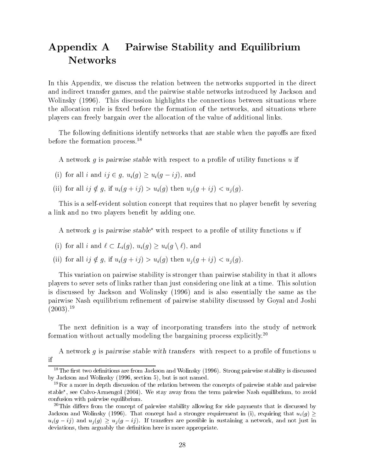# Appendix A Pairwise Stability and Equilibrium **Networks**

In this Appendix, we discuss the relation between the networks supported in the direct and indirect transfer games, and the pairwise stable networks introduced by Jackson and Wolinsky (1996). This discussion highlights the connections between situations where the allocation rule is fixed before the formation of the networks, and situations where players can freely bargain over the allocation of the value of additional links.

The following definitions identify networks that are stable when the payoffs are fixed before the formation process.18

A network  $g$  is pairwise stable with respect to a profile of utility functions  $u$  if

- (i) for all i and  $ij \in g$ ,  $u_i(g) \ge u_i(g ij)$ , and
- (ii) for all  $ij \notin g$ , if  $u_i(g + ij) > u_i(g)$  then  $u_j(g + ij) < u_i(g)$ .

This is a self-evident solution concept that requires that no player benefit by severing a link and no two players benefit by adding one.

A network q is pairwise stable<sup>\*</sup> with respect to a profile of utility functions u if

- (i) for all i and  $\ell \subset L_i(g)$ ,  $u_i(g) \geq u_i(g \setminus \ell)$ , and
- (ii) for all  $ij \notin g$ , if  $u_i(g + ij) > u_i(g)$  then  $u_i(g + ij) < u_i(g)$ .

This variation on pairwise stability is stronger than pairwise stability in that it allows players to sever sets of links rather than just considering one link at a time. This solution is discussed by Jackson and Wolinsky (1996) and is also essentially the same as the pairwise Nash equilibrium refinement of pairwise stability discussed by Goyal and Joshi  $(2003).^{19}$ 

The next definition is a way of incorporating transfers into the study of network formation without actually modeling the bargaining process explicitly.20

A network q is pairwise stable with transfers with respect to a profile of functions  $u$ if

 $18$ The first two definitions are from Jackson and Wolinsky (1996). Strong pairwise stability is discussed by Jackson and Wolinsky (1996, section 5), but is not named.

<sup>&</sup>lt;sup>19</sup>For a more in depth discussion of the relation between the concepts of pairwise stable and pairwise stable , see Calvo-Armengol (2004). We stay away from the term pairwise Nash equilibrium, to avoid confusion with pairwise equilibrium.

 $^{20}$ This differs from the concept of pairwise stability allowing for side payments that is discussed by Jackson and Wolinsky (1996). That concept had a stronger requirement in (i), requiring that  $u_i(g)$  $u_i(g - ij)$  and  $u_j(g) \geq u_j(g - ij)$ . If transfers are possible in sustaining a network, and not just in deviations, then arguably the definition here is more appropriate.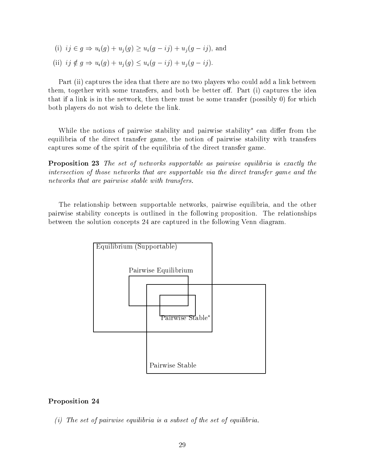(i)  $ij \in g \Rightarrow u_i(g) + u_j(g) \ge u_i(g - ij) + u_j(g - ij)$ , and (ii)  $ij \notin g \Rightarrow u_i(g) + u_j(g) \le u_i(g - ij) + u_j(g - ij).$ 

Part (ii) captures the idea that there are no two players who could add a link between them, together with some transfers, and both be better off. Part (i) captures the idea that if a link is in the network, then there must be some transfer (possibly 0) for which both players do not wish to delete the link.

While the notions of pairwise stability and pairwise stability can differ from the equilibria of the direct transfer game, the notion of pairwise stability with transfers captures some of the spirit of the equilibria of the direct transfer game.

Proposition 23 The set of networks supportable as pairwise equilibria is exactly the intersection of those networks that are supportable via the direct transfer game and the networks that are pairwise stable with transfers.

The relationship between supportable networks, pairwise equilibria, and the other pairwise stability concepts is outlined in the following proposition. The relationships between the solution concepts 24 are captured in the following Venn diagram.



### Proposition 24

(i) The set of pairwise equilibria is a subset of the set of equilibria.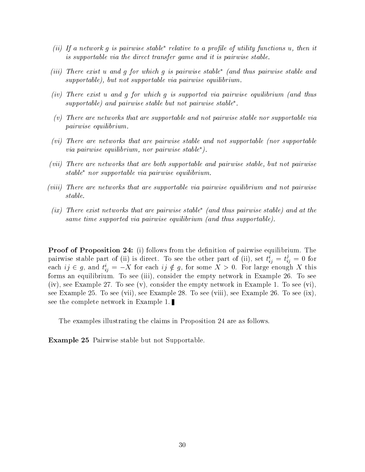- (ii) If a network q is pairwise stable<sup>\*</sup> relative to a profile of utility functions u, then it is supportable via the direct transfer game and it is pairwise stable.
- (iii) There exist u and g for which g is pairwise stable (and thus pairwise stable and supportable), but not supportable via pairwise equilibrium.
- (iv) There exist u and g for which g is supported via pairwise equilibrium (and thus supportable) and pairwise stable but not pairwise stable\*.
- (v) There are networks that are supportable and not pairwise stable nor supportable via pairwise equilibrium.
- (vi) There are networks that are pairwise stable and not supportable (nor supportable via pairwise equilibrium, nor pairwise stable).
- (vii) There are networks that are both supportable and pairwise stable, but not pairwise  $stable^*$  nor supportable via pairwise equilibrium.
- (viii) There are networks that are supportable via pairwise equilibrium and not pairwise stable.
- (ix) There exist networks that are pairwise stable\* (and thus pairwise stable) and at the same time supported via pairwise equilibrium (and thus supportable).

**Proof of Proposition 24:** (i) follows from the definition of pairwise equilibrium. The pairwise stable part of (ii) is direct. To see the other part of (ii), set  $t_{ij}^* = t_{ij}^* = 0$  for each  $ij \in g$ , and  $i_{ij} = -\lambda$  for each  $ij \notin g$ , for some  $\lambda > 0$ . For large enough  $\lambda$  this forms an equilibrium. To see (iii), consider the empty network in Example 26. To see (iv), see Example 27. To see (v), consider the empty network in Example 1. To see (vi), see Example 25. To see (vii), see Example 28. To see (viii), see Example 26. To see (ix), see the complete network in Example 1.

The examples illustrating the claims in Proposition 24 are as follows.

Example 25 Pairwise stable but not Supportable.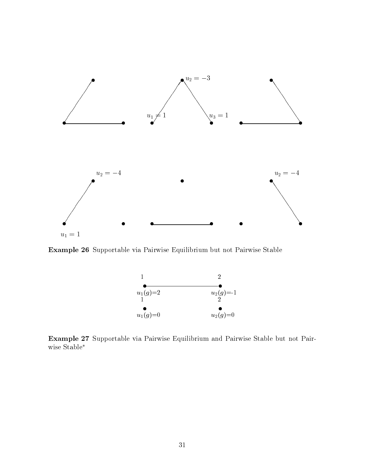

Example 26 Supportable via Pairwise Equilibrium but not Pairwise Stable



Example 27 Supportable via Pairwise Equilibrium and Pairwise Stable but not Pairwise Stable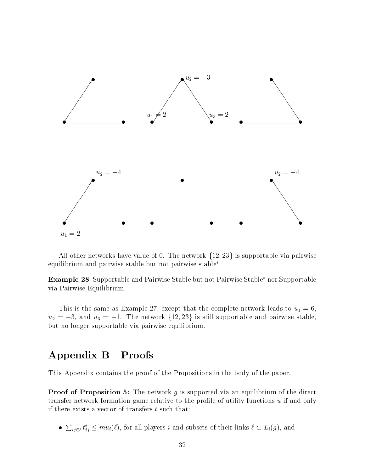

All other networks have value of 0. The network  $\{12, 23\}$  is supportable via pairwise equilibrium and pairwise stable but not pairwise stable .

**Example 28** Supportable and Pairwise Stable but not Pairwise Stable<sup>\*</sup> nor Supportable via Pairwise Equilibrium

This is the same as Example 27, except that the complete network leads to  $u_1 = 6$ ,  $u_2 = -3$ , and  $u_3 = -1$ . The network  $\{12, 23\}$  is still supportable and pairwise stable, but no longer supportable via pairwise equilibrium.

## Appendix B Proofs

This Appendix contains the proof of the Propositions in the body of the paper.

**Proof of Proposition 5:** The network  $g$  is supported via an equilibrium of the direct transfer network formation game relative to the profile of utility functions  $u$  if and only if there exists a vector of transfers  $t$  such that:

•  $\sum_{ij\in\ell}t_{ij}^i\leq mu_i(\ell)$ , for all players i and subsets of their links  $\ell\subset L_i(g)$ , and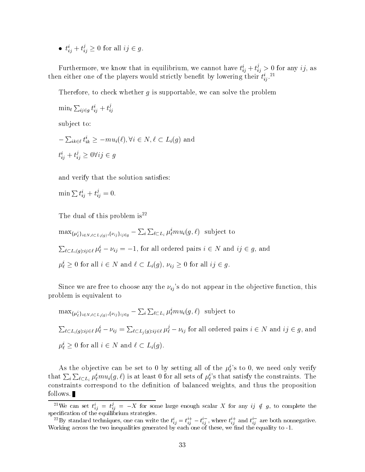•  $t_{ij}^* + t_{ij}^* \geq 0$  for all  $ij \in g$ .

Furthermore, we know that in equilibrium, we cannot have  $t_{ij}^* + t_{ij}^* > 0$  for any  $ij$ , as then either one of the players would strictly benefit by lowering their  $\iota_{ij}$ .

Therefore, to check whether q is supportable, we can solve the problem

```
\min_t \sum_{ij \in q} t_{ij}^i + t_{ij}^jij de la construcción de la construcción de la construcción de la construcción de la construcción de la construcción de la construcción de la construcción de la construcción de la construcción de la construcción de la cons
```
subject to:

subject to:<br>  $-\sum_{ik \in \ell} t_{ik}^i \ge -mu_i(\ell), \forall i \in N, \ell \subset L_i(g)$  and  $t_{ij}^* + t_{ij}^* \geq 0$   $\forall ij \in g$ 

and verify that the solution satisfies:

$$
\min \sum t_{ij}^i + t_{ij}^j = 0.
$$

The dual of this problem is<sup>22</sup>

 $\max_{\{\mu_\ell^i\}_{i\in N,\ell\subset L_i(g)},\{\nu_{ij}\}_{i j\in g}} - \sum_i \sum_{\ell\subset L_i} \mu_\ell^i m u_i(g,\ell)$  subject to  $\sum_{\ell \in L_i(g):ij \in \ell} \mu_{\ell}^i - \nu_{ij} = -1$ , for all ordered pairs  $i \in N$  and  $ij \in g$ , and  $\mu_{\ell} \geq 0$  for all  $i \in N$  and  $\ell \subset L_i(g)$ ,  $\nu_{ij} \geq 0$  for all  $ij \in g$ .

Since we are free to choose any the  $\nu_{ij}$ 's do not appear in the objective function, this problem is equivalent to

$$
\max_{\{\mu_{\ell}^{i}\}_{i\in N,\ell\subset L_{i}(g),\{\nu_{ij}\}_{ij\in g}} - \sum_{i} \sum_{\ell\subset L_{i}} \mu_{\ell}^{i} m u_{i}(g,\ell) \text{ subject to}
$$
  

$$
\sum_{\ell\subset L_{i}(g):ij\in\ell} \mu_{\ell}^{i} - \nu_{ij} = \sum_{\ell\subset L_{j}(g):ij\in\ell} \mu_{\ell}^{j} - \nu_{ij} \text{ for all ordered pairs } i\in N \text{ and } ij\in g, \text{ and}
$$
  

$$
\mu_{\ell}^{i} \geq 0 \text{ for all } i\in N \text{ and } \ell\subset L_{i}(g).
$$

As the objective can be set to 0 by setting all of the  $\mu_{\ell}^i$ 's to 0, we need only verify that  $\sum_i \sum_{\ell \subset L_i} \mu_\ell^i m u_i(g, \ell)$  is at least 0 for all sets of  $\mu_\ell^i$ 's that satisfy the constraints. The constraints correspond to the definition of balanced weights, and thus the proposition follows.

 $z^2$  We can set  $t_{ij}^* = t_{ij}^* = -X$  for some large enough scalar X for any  $ij \notin g$ , to complete the specialistication of the equilibrium strategies. The equilibrium strategies is a strategies of the equilibrium strategies. The experiment of the equilibrium strategies is a strategies of the experiment of the experiment of

 $z^2$ By standard techniques, one can write the  $t_{ij}^* = t_{ij}^- - t_{ij}^+$  , where  $t_{ij}^-$  and  $t_{ij}^-$  are both nonnegative. We according across the two inequalities generated by each one of the equality to -1. We according to -1. We according to -1. We according to -1. We according to -1. We according to -1. We according to -1. We according to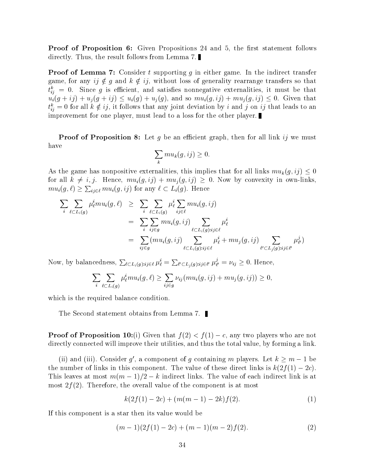**Proof of Proposition 6:** Given Propositions 24 and 5, the first statement follows directly. Thus, the result follows from Lemma 7.

**Proof of Lemma 7:** Consider t supporting g in either game. In the indirect transfer game, for any  $ij \notin g$  and  $k \notin ij$ , without loss of generality rearrange transfers so that  $t_{ij}$  = 0. Since g is enicient, and satisfies nonnegative externalities, it must be that  $u_i(g + ij) + u_j(g + ij) \le u_i(g) + u_j(g)$ , and so  $mu_i(g, ij) + mu_j(g, ij) \le 0$ . Given that  $t_{ij}^* = 0$  for all  $\kappa \notin \mathcal{Y},$  it follows that any joint deviation by  $\imath$  and  $\jmath$  on  $\imath \jmath$  that leads to an improvement for one player, must lead to a loss for the other player.

**Proof of Proposition 8:** Let g be an efficient graph, then for all link ij we must have

$$
\sum_{k} mu_{k}(g, ij) \ge 0.
$$

As the game has nonpositive externalities, this implies that for all links  $mu_k(g, ij) \leq 0$ for all  $k \neq i, j$ . Hence,  $mu_i(g, ij) + mu_j(g, ij) \geq 0$ . Now by convexity in own-links,  $mu_i(g, \ell) \geq \sum_{i_j \in \ell} mu_i(g, ij)$  for any  $\ell \subset L_i(g)$ . Hence

$$
\sum_{i} \sum_{\ell \subset L_i(g)} \mu_{\ell}^{i} m u_i(g, \ell) \geq \sum_{i} \sum_{\ell \subset L_i(g)} \mu_{\ell}^{i} \sum_{ij \in \ell} m u_i(g, ij)
$$
\n
$$
= \sum_{i} \sum_{ij \in g} m u_i(g, ij) \sum_{\ell \subset L_i(g):ij \in \ell} \mu_{\ell}^{i}
$$
\n
$$
= \sum_{ij \in g} (m u_i(g, ij) \sum_{\ell \subset L_i(g):ij \in \ell} \mu_{\ell}^{i} + m u_j(g, ij) \sum_{\ell' \subset L_j(g):ij \in \ell'} \mu_{\ell'}^{j})
$$

Now, by balancedness,  $\sum_{\ell \subset L_i(q):ij \in \ell} \mu_{\ell}^i = \sum_{\ell' \subset L_i(q):ij \in \ell'} \mu_{\ell'}^j = \nu_{ij} \geq 0$ . Hence,

$$
\sum_{i}\sum_{\ell\subset L_i(g)}\mu_{\ell}^i mu_i(g,\ell)\geq \sum_{ij\in g}\nu_{ij}(mu_i(g,ij)+mu_j(g,ij))\geq 0,
$$

which is the required balance condition.

The Second statement obtains from Lemma 7.

**Proof of Proposition 10:**(i) Given that  $f(2) < f(1) - c$ , any two players who are not directly connected will improve their utilities, and thus the total value, by forming a link.

(ii) and (iii). Consider q', a component of q containing m players. Let  $k > m - 1$  be the number of links in this component. The value of these direct links is  $k(2f(1) - 2c)$ . This leaves at most  $m(m-1)/2 - k$  indirect links. The value of each indirect link is at most  $2f(2)$ . Therefore, the overall value of the component is at most

$$
k(2f(1) - 2c) + (m(m - 1) - 2k)f(2). \tag{1}
$$

If this component is a star then its value would be

$$
(m-1)(2f(1) - 2c) + (m-1)(m-2)f(2).
$$
 (2)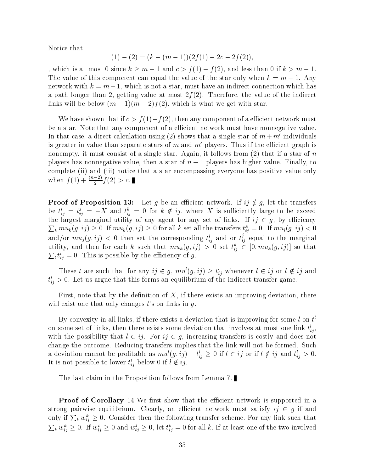Notice that

$$
(1) - (2) = (k - (m - 1))(2f(1) - 2c - 2f(2)),
$$

, which is at most 0 since  $k \ge m - 1$  and  $c > f(1) - f(2)$ , and less than 0 if  $k > m - 1$ . The value of this component can equal the value of the star only when  $k = m - 1$ . Any network with  $k = m - 1$ , which is not a star, must have an indirect connection which has a path longer than 2, getting value at most  $2f(2)$ . Therefore, the value of the indirect links will be below  $(m - 1)(m - 2)f(2)$ , which is what we get with star.

We have shown that if  $c>f(1)-f(2)$ , then any component of a efficient network must be a star. Note that any component of a efficient network must have nonnegative value. In that case, a direct calculation using (2) shows that a single star of  $m + m'$  individuals is greater in value than separate stars of m and  $m'$  players. Thus if the efficient graph is nonempty, it must consist of a single star. Again, it follows from  $(2)$  that if a star of n players has nonnegative value, then a star of  $n + 1$  players has higher value. Finally, to complete (ii) and (iii) notice that a star encompassing everyone has positive value only when  $f(1) + \frac{(n-2)}{2}f(2) > c$ .

**Proof of Proposition 13:** Let g be an efficient network. If  $ij \notin g$ , let the transfers be  $t_{ij}^* = t_{ij}^* = -X$  and  $t_{ij}^* = 0$  for  $k \notin \mathcal{U}$ , where X is sufficiently large to be exceed the largest marginal utility of any agent for any set of links. If  $\imath\imath \in q,$  by efficiency  $\sum_k mu_k(g, ij) \ge 0$ . If  $mu_k(g, ij) \ge 0$  for all k set all the transfers  $t_{ij}^{\kappa} = 0$ . If  $mu_i(g, ij) < 0$ and/or  $mu_j(g, ij) < 0$  then set the corresponding  $t_{ij}^*$  and or  $t_{ij}^*$  equal to the marginal utility, and then for each  $\kappa$  such that  $mu_k(g, ij) > 0$  set  $\iota_{ij} \in [0, mu_k(g, ij)]$  so that  $\sum_l t_{ij}^i = 0$ . This is possible by the efficiency of g.

These t are such that for any  $ij \in g$ ,  $mu(y, ij) \geq t_{ij}$  whenever  $t \in ij$  or  $t \notin ij$  and  $t_{ij} > 0$ . Let us argue that this forms an equilibrium of the indirect transfer game.

First, note that by the definition of  $X$ , if there exists an improving deviation, there will exist one that only changes  $t$ 's on links in  $g$ .

Dy convexity in all links, if there exists a deviation that is improving for some  $t$  on  $t$ on some set of links, then there exists some deviation that involves at most one link  $t_{ij}$ , with the possibility that  $l \in ij$ . For  $ij \in g$ , increasing transfers is costly and does not change the outcome. Reducing transfers implies that the link will not be formed. Such a deviation cannot be prontable as  $mu(y, ij) = v_{ij} \geq 0$  if  $i \in ij$  or if  $i \notin ij$  and  $v_{ij} > 0$ . It is not possible to lower  $t_{ij}$  below 0 if  $l \notin \mathcal{U}$ .

The last claim in the Proposition follows from Lemma 7.

**Proof of Corollary** 14 We first show that the efficient network is supported in a strong pairwise equilibrium. Clearly, an efficient network must satisfy  $ij \in g$  if and only if  $\sum_k w_{ij}^{\kappa} \geq 0$ . Consider then the following transfer scheme. For any link such that  $\sum_k w_{ij}^k \geq 0$ . If  $w_{ij}^i \geq 0$  and  $w_{ij}^j \geq 0$ , let  $t_{ij}^k = 0$  for all k. If at least one of the two involved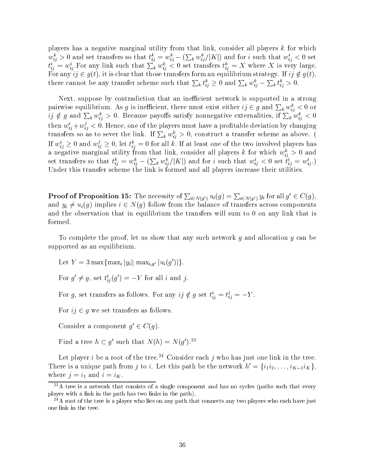players has a negative marginal utility from that link, consider all players k for which  $w_{ij}^k > 0$  and set transfers so that  $t_{ij}^k = w_{ij}^k - (\sum_k w_{ij}^k / |K|)$  and for i such that  $w_{ij}^i < 0$  set  $t_{ij}^i = w_{ij}^i$ . For any link such that  $\sum_k w_{ij}^{\kappa} < 0$  set transfers  $t_{ij}^{\kappa} = X$  where X is very large. For any  $ij \in g(t)$ , it is clear that those transfers form an equilibrium strategy. If  $ij \notin g(t)$ , there cannot be any transfer scheme such that  $\sum_k t_{ij}^{\kappa} \geq 0$  and  $\sum_k w_{ij}^{\kappa} - \sum_k t_{ij}^{\kappa} > 0$ .

Next, suppose by contradiction that an inefficient network is supported in a strong pairwise equilibrium. As g is inefficient, there must exist either  $ij \in g$  and  $\sum_k w_{ij}^k < 0$  or  $ij \notin g$  and  $\sum_k w_{ij}^{\kappa} > 0$ . Because payoffs satisfy nonnegative externalities, if  $\sum_k w_{ij}^{\kappa} < 0$ then  $w_{ij}^* + w_{ij}^* < 0.$  Hence, one of the players must have a profitable deviation by changing transfers so as to sever the link. If  $\sum_k w_{ij}^k > 0$ , construct a transfer scheme as above. ( If  $w_{ij}^* \geq 0$  and  $w_{ij}^* \geq 0$ , let  $t_{ij}^* = 0$  for all k. If at least one of the two involved players has a negative marginal utility from that link, consider all players  $\kappa$  for which  $w_{ij} > 0$  and set transfers so that  $t_{ij}^k = w_{ij}^k - (\sum_k w_{ij}^k / |K|)$  and for i such that  $w_{ij}^i < 0$  set  $t_{ij}^i = w_{ij}^i$ . Under this transfer scheme the link is formed and all players increase their utilities.

**Proof of Proposition 15:** The necessity of  $\sum_{i\in N(q')} u_i(g) = \sum_{i\in N(q')} y_i$  for all  $g' \in C(g)$ , and  $y_i \neq u_i(g)$  implies  $i \in N(g)$  follow from the balance of transfers across components and the observation that in equilibrium the transfers will sum to 0 on any link that is formed.

To complete the proof, let us show that any such network g and allocation  $y$  can be supported as an equilibrium.

Let  $Y = 3 \max\{\max_i |y_i|; \max_{i,g'} |u_i(g')|\}.$ 

For  $g' \neq g$ , set  $t_{ij}^i(g') = -Y$  for all i and j.

For g, set transfers as follows. For any  $\imath \jmath \notin g$  set  $t_{ij}^* = t_{ij}^* = -Y$ .

For  $ij \in g$  we set transfers as follows.

Consider a component  $q' \in C(q)$ .

Find a tree  $h \subset q'$  such that  $N(h) = N(q')$ .<sup>23</sup>

Let player i be a root of the tree.<sup>24</sup> Consider each j who has just one link in the tree. There is a unique path from j to i. Let this path be the network  $h' = \{i_1 i_2, \ldots, i_{K-1} i_K\},\$ where  $j = i_1$  and  $i = i_K$ .

 $^{23}$ A tree is a network that consists of a single component and has no cycles (paths such that every player with a link in the path has two links in the path).

 $^{24}$ A root of the tree is a player who lies on any path that connects any two players who each have just one link in the tree.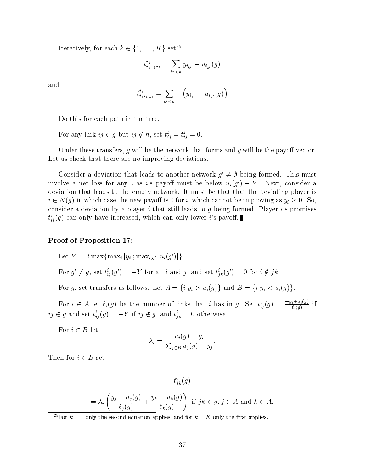Iteratively, for each  $k \in \{1,\ldots,K\}$  set<sup>25</sup>

$$
t^{i_k}_{i_{k-1}i_k} = \sum_{k' < k} y_{i_{k'}} - u_{i_{k'}}(g)
$$

and

$$
t^{i_k}_{i_k i_{k+1}} = \sum_{k' \leq k} -\left(y_{i_{k'}} - u_{i_{k'}}(g)\right)
$$

Do this for each path in the tree.

For any link  $ij \in g$  but  $ij \notin h$ , set  $t_{ij}^* = t_{ij}^* = 0$ .

Under these transfers, g will be the network that forms and  $y$  will be the payoff vector. Let us check that there are no improving deviations.

Consider a deviation that leads to another network  $q' \neq \emptyset$  being formed. This must involve a net loss for any i as i's payoff must be below  $u_i(g') - Y$ . Next, consider a deviation that leads to the empty network. It must be that that the deviating player is  $i \in N(g)$  in which case the new payoff is 0 for i, which cannot be improving as  $y_i \ge 0$ . So, consider a deviation by a player  $i$  that still leads to  $g$  being formed. Player  $i$ 's promises  $t_{ij}^i(g)$  can only have increased, which can only lower *i*'s payoff.

### Proof of Proposition 17:

Let  $Y = 3 \max\{\max_i |y_i|; \max_{i,g'} |u_i(g')|\}.$ 

For  $g' \neq g$ , set  $t_{ij}^i(g') = -Y$  for all i and j, and set  $t_{ik}^i(g') = 0$  for

For g, set transfers as follows. Let  $A = \{i|y_i > u_i(g)\}\$  and  $B = \{i|y_i < u_i(g)\}\$ .

For  $i \in A$  let  $\ell_i(g)$  be the number of links that i has in g. Set  $t_{ij}^i(g) = \frac{-y_i + a_i(g)}{\ell_i(g)}$  if  $i_j \in g$  and set  $i_{ij}(g) = -Y$  if  $ij \notin g$ , and  $i_{jk} = 0$  otherwise.

For  $i \in B$  let

$$
\lambda_i = \frac{u_i(g) - y_i}{\sum_{j \in B} u_j(g) - y_j}.
$$

Then for  $i \in B$  set

$$
t_{jk}^{i}(g)
$$
  
=  $\lambda_{i} \left( \frac{y_{j} - u_{j}(g)}{\ell_{j}(g)} + \frac{y_{k} - u_{k}(g)}{\ell_{k}(g)} \right)$  if  $jk \in g, j \in A$  and  $k \in A$ ,

<sup>25</sup>For  $k = 1$  only the second equation applies, and for  $k = K$  only the first applies.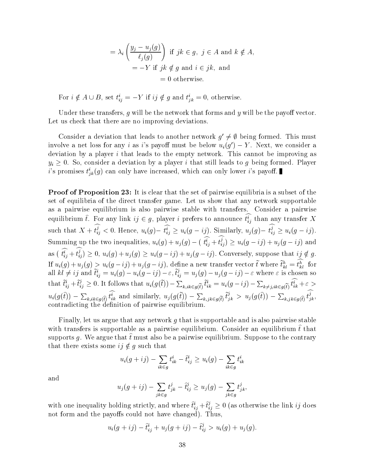$$
= \lambda_i \left( \frac{y_j - u_j(g)}{\ell_j(g)} \right) \text{ if } jk \in g, j \in A \text{ and } k \notin A,
$$
  

$$
= -Y \text{ if } jk \notin g \text{ and } i \in jk, \text{ and}
$$
  

$$
= 0 \text{ otherwise.}
$$

For  $i \notin A \cup B$ , set  $t_{ij} = -Y$  if  $ij \notin g$  and  $t_{jk} = 0$ , otherwise.

Under these transfers, q will be the network that forms and  $y$  will be the payoff vector. Let us check that there are no improving deviations.

Consider a deviation that leads to another network  $q' \neq \emptyset$  being formed. This must involve a net loss for any *i* as *i*'s payoff must be below  $u_i(g') - Y$ . Next, we consider a deviation by a player  $i$  that leads to the empty network. This cannot be improving as  $y_i \geq 0$ . So, consider a deviation by a player i that still leads to g being formed. Player *i*'s promises  $t_{ik}^i(g)$  can only have increased, which can only lower *i*'s payoff.

**Proof of Proposition 23:** It is clear that the set of pairwise equilibria is a subset of the set of equilibria of the direct transfer game. Let us show that any network supportable as a pairwise equilibrium is also pairwise stable with transfers. Consider a pairwise equilibrium t. For any link  $ij \in g$ , player t prefers to announce  $t_{ij}^*$  than any transfer  $X$ such that  $X + t'_{ij} < 0$ . Hence,  $u_i(g) - t'_{ij} \geq u_i(g - ij)$ . Similarly,  $u_j(g) - t'_{ij} \geq u_i(g - ij)$ . Summing up the two inequalities,  $u_i(g) + u_j(g) - (t_{ij}^* + t_{ij}^*) \ge u_i(g - ij) + u_j(g - ij)$  and as (  $t_{ij}^i + t_{ij}^i \geq 0$ ,  $u_i(g) + u_j(g) \geq u_i(g - ij) + u_j(g - ij)$ . Conversely, suppose that  $ij \notin g$ . If  $u_i(g) + u_j(g) > u_i(g - ij) + u_j(g - ij)$ , define a new transfer vector  $t$  where  $t_{kl}^u = t_{kl}^u$  for all  $kl \neq ij$  and  $t_{ij}^* = u_i(g) - u_i(g - ij) - \varepsilon$ ,  $t_{ij}^* = u_j(g) - u_j(g - ij) - \varepsilon$  where  $\varepsilon$  is chosen so that  $t_{ij}^i + t_{ij}^j \geq 0$ . It follows that  $u_i(g(t)) - \sum_{k,ik\in g(\tilde{t})} t_{ik}^i = u_i(g-ij) - \sum_{k\neq j,ik\in g(\tilde{t})} t_{ik}^i + \varepsilon > 0$  $u_i(g(t)) - \sum_{k,i k \in q(\hat{t})} t_{ik}^i$  and similarly,  $u_j(g(t)) - \sum_{k,j k \in q(\hat{t})} t_{jk}^j > u_j(g(t)) - \sum_{k,i k \in q(\hat{t})} t_{jk}^i$ contradicting the denition of pairwise equilibrium.

Finally, let us argue that any network  $q$  that is supportable and is also pairwise stable with transiers is supportable as a pairwise equilibrium. Consider an equilibrium  $\iota$  that supports  $q$ . We argue that  $t$  must also be a pairwise equilibrium. Suppose to the contrary that there exists some  $ij \notin g$  such that

$$
u_i(g+ij) - \sum_{ik \in g} t_{ik}^i - \hat{t}_{ij}^i \ge u_i(g) - \sum_{ik \in g} t_{ik}^i
$$

and

$$
u_j(g+ij) - \sum_{jk \in g} t_{jk}^j - \hat{t}_{ij}^j \ge u_j(g) - \sum_{jk \in g} t_{jk}^j,
$$

with one inequality holding strictly, and where  $t_{ij}^* + t_{ij}^* \geq 0$  (as otherwise the link  $ij$  does not form and the payoffs could not have changed). Thus,

$$
u_i(g+ij)-\hat{t}_{ij}^i+u_j(g+ij)-\hat{t}_{ij}^j>u_i(g)+u_j(g).
$$